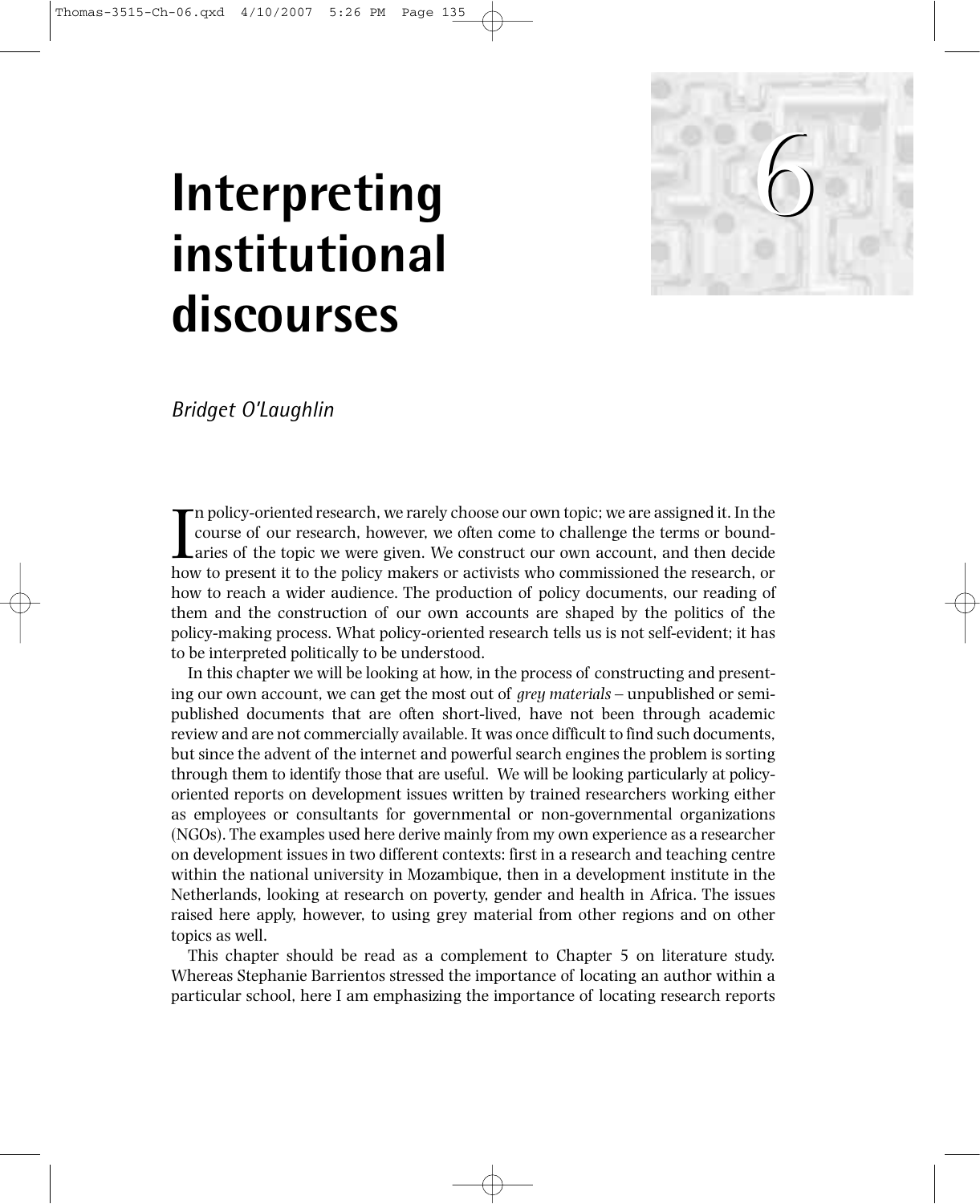

# **Interpreting institutional discourses**

*Bridget O'Laughlin* 

I'm policy-oriented research, we rarely choose our own topic; we are assigned it. In the course of our research, however, we often come to challenge the terms or bound-<br>aries of the topic we were given. We construct our ow  $\Gamma$ n policy-oriented research, we rarely choose our own topic; we are assigned it. In the course of our research, however, we often come to challenge the terms or boundhow to present it to the policy makers or activists who commissioned the research, or how to reach a wider audience. The production of policy documents, our reading of them and the construction of our own accounts are shaped by the politics of the policy-making process. What policy-oriented research tells us is not self-evident; it has to be interpreted politically to be understood.

In this chapter we will be looking at how, in the process of constructing and presenting our own account, we can get the most out of *grey materials* – unpublished or semipublished documents that are often short-lived, have not been through academic review and are not commercially available. It was once difficult to find such documents, but since the advent of the internet and powerful search engines the problem is sorting through them to identify those that are useful. We will be looking particularly at policyoriented reports on development issues written by trained researchers working either as employees or consultants for governmental or non-governmental organizations (NGOs). The examples used here derive mainly from my own experience as a researcher on development issues in two different contexts: first in a research and teaching centre within the national university in Mozambique, then in a development institute in the Netherlands, looking at research on poverty, gender and health in Africa. The issues raised here apply, however, to using grey material from other regions and on other topics as well.

This chapter should be read as a complement to Chapter 5 on literature study. Whereas Stephanie Barrientos stressed the importance of locating an author within a particular school, here I am emphasizing the importance of locating research reports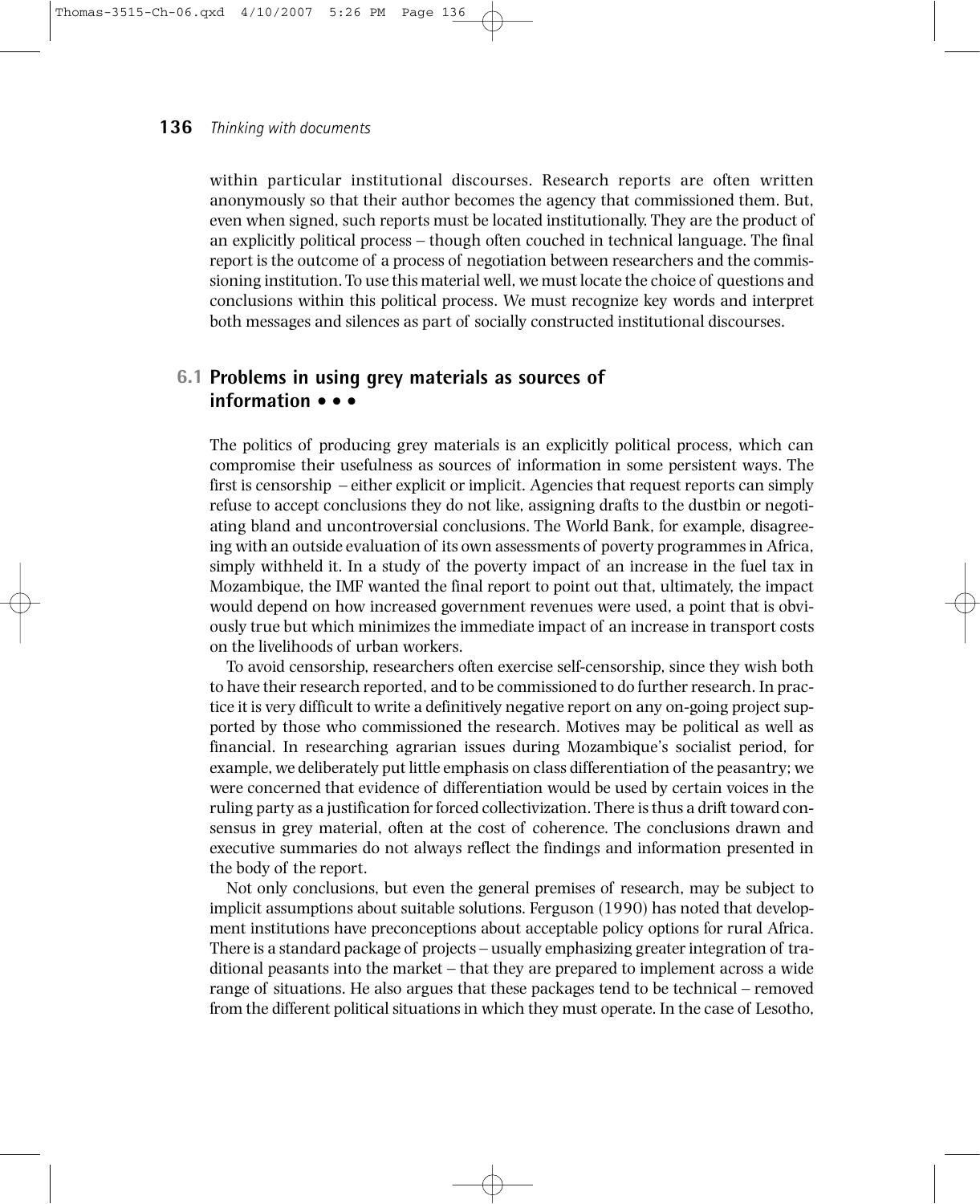within particular institutional discourses. Research reports are often written anonymously so that their author becomes the agency that commissioned them. But, even when signed, such reports must be located institutionally. They are the product of an explicitly political process – though often couched in technical language. The final report is the outcome of a process of negotiation between researchers and the commissioning institution. To use this material well, we must locate the choice of questions and conclusions within this political process. We must recognize key words and interpret both messages and silences as part of socially constructed institutional discourses.

## **6.1 Problems in using grey materials as sources of information** • • •

The politics of producing grey materials is an explicitly political process, which can compromise their usefulness as sources of information in some persistent ways. The first is censorship – either explicit or implicit. Agencies that request reports can simply refuse to accept conclusions they do not like, assigning drafts to the dustbin or negotiating bland and uncontroversial conclusions. The World Bank, for example, disagreeing with an outside evaluation of its own assessments of poverty programmes in Africa, simply withheld it. In a study of the poverty impact of an increase in the fuel tax in Mozambique, the IMF wanted the final report to point out that, ultimately, the impact would depend on how increased government revenues were used, a point that is obviously true but which minimizes the immediate impact of an increase in transport costs on the livelihoods of urban workers.

To avoid censorship, researchers often exercise self-censorship, since they wish both to have their research reported, and to be commissioned to do further research. In practice it is very difficult to write a definitively negative report on any on-going project supported by those who commissioned the research. Motives may be political as well as financial. In researching agrarian issues during Mozambique's socialist period, for example, we deliberately put little emphasis on class differentiation of the peasantry; we were concerned that evidence of differentiation would be used by certain voices in the ruling party as a justification for forced collectivization. There is thus a drift toward consensus in grey material, often at the cost of coherence. The conclusions drawn and executive summaries do not always reflect the findings and information presented in the body of the report.

Not only conclusions, but even the general premises of research, may be subject to implicit assumptions about suitable solutions. Ferguson (1990) has noted that development institutions have preconceptions about acceptable policy options for rural Africa. There is a standard package of projects – usually emphasizing greater integration of traditional peasants into the market – that they are prepared to implement across a wide range of situations. He also argues that these packages tend to be technical – removed from the different political situations in which they must operate. In the case of Lesotho,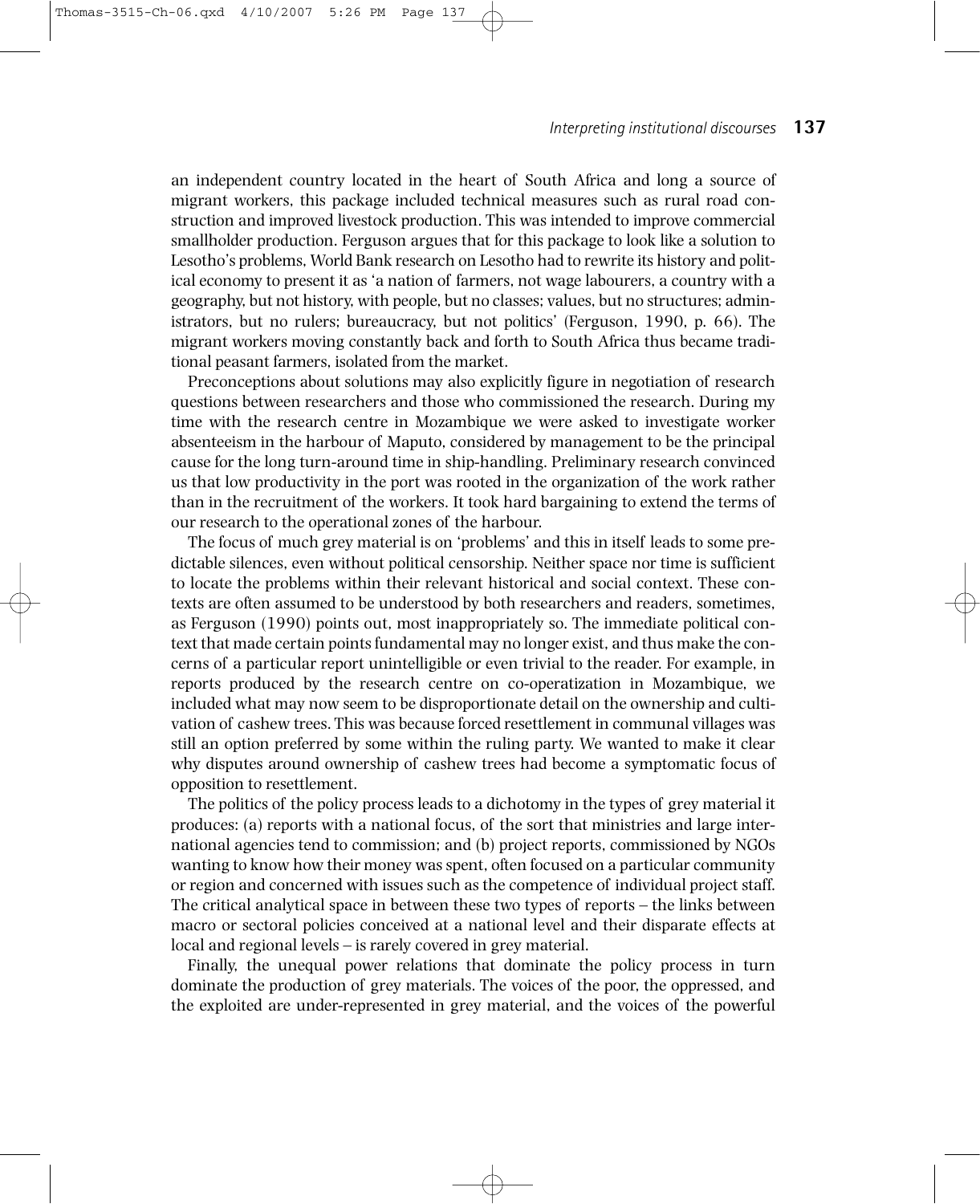an independent country located in the heart of South Africa and long a source of migrant workers, this package included technical measures such as rural road construction and improved livestock production. This was intended to improve commercial smallholder production. Ferguson argues that for this package to look like a solution to Lesotho's problems, World Bank research on Lesotho had to rewrite its history and political economy to present it as 'a nation of farmers, not wage labourers, a country with a geography, but not history, with people, but no classes; values, but no structures; administrators, but no rulers; bureaucracy, but not politics' (Ferguson, 1990, p. 66). The migrant workers moving constantly back and forth to South Africa thus became traditional peasant farmers, isolated from the market.

Preconceptions about solutions may also explicitly figure in negotiation of research questions between researchers and those who commissioned the research. During my time with the research centre in Mozambique we were asked to investigate worker absenteeism in the harbour of Maputo, considered by management to be the principal cause for the long turn-around time in ship-handling. Preliminary research convinced us that low productivity in the port was rooted in the organization of the work rather than in the recruitment of the workers. It took hard bargaining to extend the terms of our research to the operational zones of the harbour.

The focus of much grey material is on 'problems' and this in itself leads to some predictable silences, even without political censorship. Neither space nor time is sufficient to locate the problems within their relevant historical and social context. These contexts are often assumed to be understood by both researchers and readers, sometimes, as Ferguson (1990) points out, most inappropriately so. The immediate political context that made certain points fundamental may no longer exist, and thus make the concerns of a particular report unintelligible or even trivial to the reader. For example, in reports produced by the research centre on co-operatization in Mozambique, we included what may now seem to be disproportionate detail on the ownership and cultivation of cashew trees. This was because forced resettlement in communal villages was still an option preferred by some within the ruling party. We wanted to make it clear why disputes around ownership of cashew trees had become a symptomatic focus of opposition to resettlement.

The politics of the policy process leads to a dichotomy in the types of grey material it produces: (a) reports with a national focus, of the sort that ministries and large international agencies tend to commission; and (b) project reports, commissioned by NGOs wanting to know how their money was spent, often focused on a particular community or region and concerned with issues such as the competence of individual project staff. The critical analytical space in between these two types of reports – the links between macro or sectoral policies conceived at a national level and their disparate effects at local and regional levels – is rarely covered in grey material.

Finally, the unequal power relations that dominate the policy process in turn dominate the production of grey materials. The voices of the poor, the oppressed, and the exploited are under-represented in grey material, and the voices of the powerful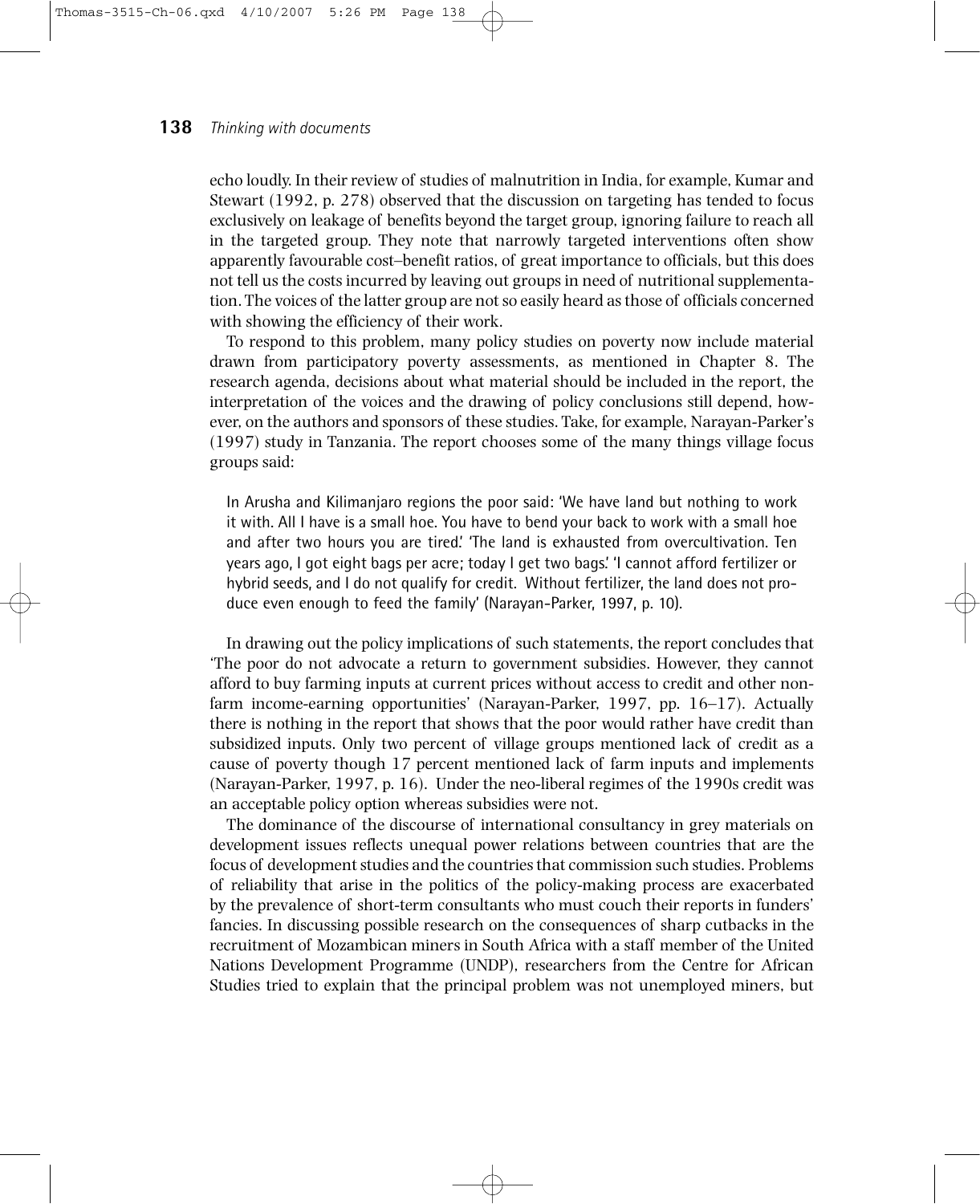#### **138** *Thinking with documents*

echo loudly. In their review of studies of malnutrition in India, for example, Kumar and Stewart (1992, p. 278) observed that the discussion on targeting has tended to focus exclusively on leakage of benefits beyond the target group, ignoring failure to reach all in the targeted group. They note that narrowly targeted interventions often show apparently favourable cost–benefit ratios, of great importance to officials, but this does not tell us the costs incurred by leaving out groups in need of nutritional supplementation. The voices of the latter group are not so easily heard as those of officials concerned with showing the efficiency of their work.

To respond to this problem, many policy studies on poverty now include material drawn from participatory poverty assessments, as mentioned in Chapter 8. The research agenda, decisions about what material should be included in the report, the interpretation of the voices and the drawing of policy conclusions still depend, however, on the authors and sponsors of these studies. Take, for example, Narayan-Parker's (1997) study in Tanzania. The report chooses some of the many things village focus groups said:

In Arusha and Kilimanjaro regions the poor said: 'We have land but nothing to work it with. All I have is a small hoe. You have to bend your back to work with a small hoe and after two hours you are tired.' 'The land is exhausted from overcultivation. Ten years ago, I got eight bags per acre; today I get two bags.' 'I cannot afford fertilizer or hybrid seeds, and I do not qualify for credit. Without fertilizer, the land does not produce even enough to feed the family' (Narayan-Parker, 1997, p. 10).

In drawing out the policy implications of such statements, the report concludes that 'The poor do not advocate a return to government subsidies. However, they cannot afford to buy farming inputs at current prices without access to credit and other nonfarm income-earning opportunities' (Narayan-Parker, 1997, pp. 16–17). Actually there is nothing in the report that shows that the poor would rather have credit than subsidized inputs. Only two percent of village groups mentioned lack of credit as a cause of poverty though 17 percent mentioned lack of farm inputs and implements (Narayan-Parker, 1997, p. 16). Under the neo-liberal regimes of the 1990s credit was an acceptable policy option whereas subsidies were not.

The dominance of the discourse of international consultancy in grey materials on development issues reflects unequal power relations between countries that are the focus of development studies and the countries that commission such studies. Problems of reliability that arise in the politics of the policy-making process are exacerbated by the prevalence of short-term consultants who must couch their reports in funders' fancies. In discussing possible research on the consequences of sharp cutbacks in the recruitment of Mozambican miners in South Africa with a staff member of the United Nations Development Programme (UNDP), researchers from the Centre for African Studies tried to explain that the principal problem was not unemployed miners, but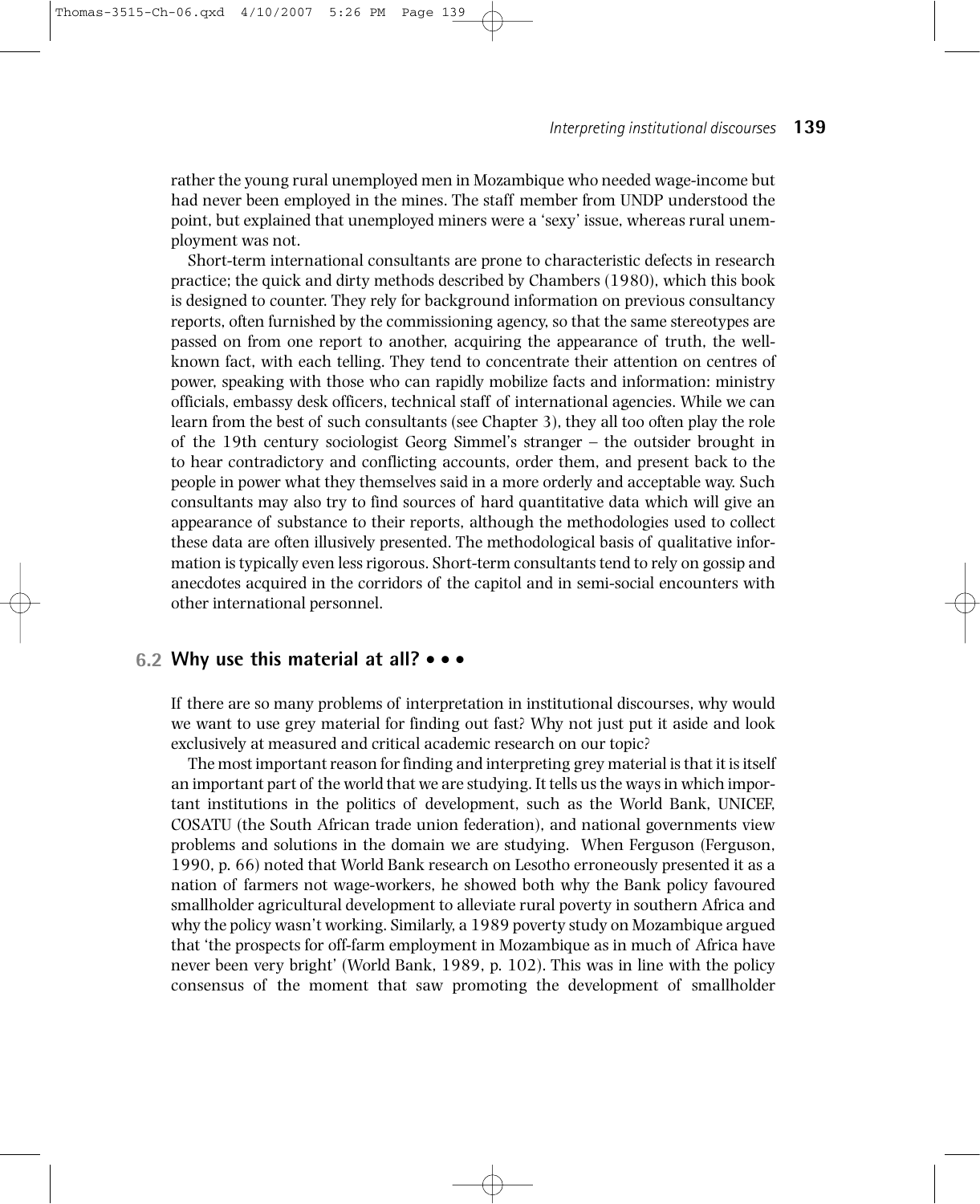rather the young rural unemployed men in Mozambique who needed wage-income but had never been employed in the mines. The staff member from UNDP understood the point, but explained that unemployed miners were a 'sexy' issue, whereas rural unemployment was not.

Short-term international consultants are prone to characteristic defects in research practice; the quick and dirty methods described by Chambers (1980), which this book is designed to counter. They rely for background information on previous consultancy reports, often furnished by the commissioning agency, so that the same stereotypes are passed on from one report to another, acquiring the appearance of truth, the wellknown fact, with each telling. They tend to concentrate their attention on centres of power, speaking with those who can rapidly mobilize facts and information: ministry officials, embassy desk officers, technical staff of international agencies. While we can learn from the best of such consultants (see Chapter 3), they all too often play the role of the 19th century sociologist Georg Simmel's stranger – the outsider brought in to hear contradictory and conflicting accounts, order them, and present back to the people in power what they themselves said in a more orderly and acceptable way. Such consultants may also try to find sources of hard quantitative data which will give an appearance of substance to their reports, although the methodologies used to collect these data are often illusively presented. The methodological basis of qualitative information is typically even less rigorous. Short-term consultants tend to rely on gossip and anecdotes acquired in the corridors of the capitol and in semi-social encounters with other international personnel.

### **6.2 Why use this material at all?** • • •

If there are so many problems of interpretation in institutional discourses, why would we want to use grey material for finding out fast? Why not just put it aside and look exclusively at measured and critical academic research on our topic?

The most important reason for finding and interpreting grey material is that it is itself an important part of the world that we are studying. It tells us the ways in which important institutions in the politics of development, such as the World Bank, UNICEF, COSATU (the South African trade union federation), and national governments view problems and solutions in the domain we are studying. When Ferguson (Ferguson, 1990, p. 66) noted that World Bank research on Lesotho erroneously presented it as a nation of farmers not wage-workers, he showed both why the Bank policy favoured smallholder agricultural development to alleviate rural poverty in southern Africa and why the policy wasn't working. Similarly, a 1989 poverty study on Mozambique argued that 'the prospects for off-farm employment in Mozambique as in much of Africa have never been very bright' (World Bank, 1989, p. 102). This was in line with the policy consensus of the moment that saw promoting the development of smallholder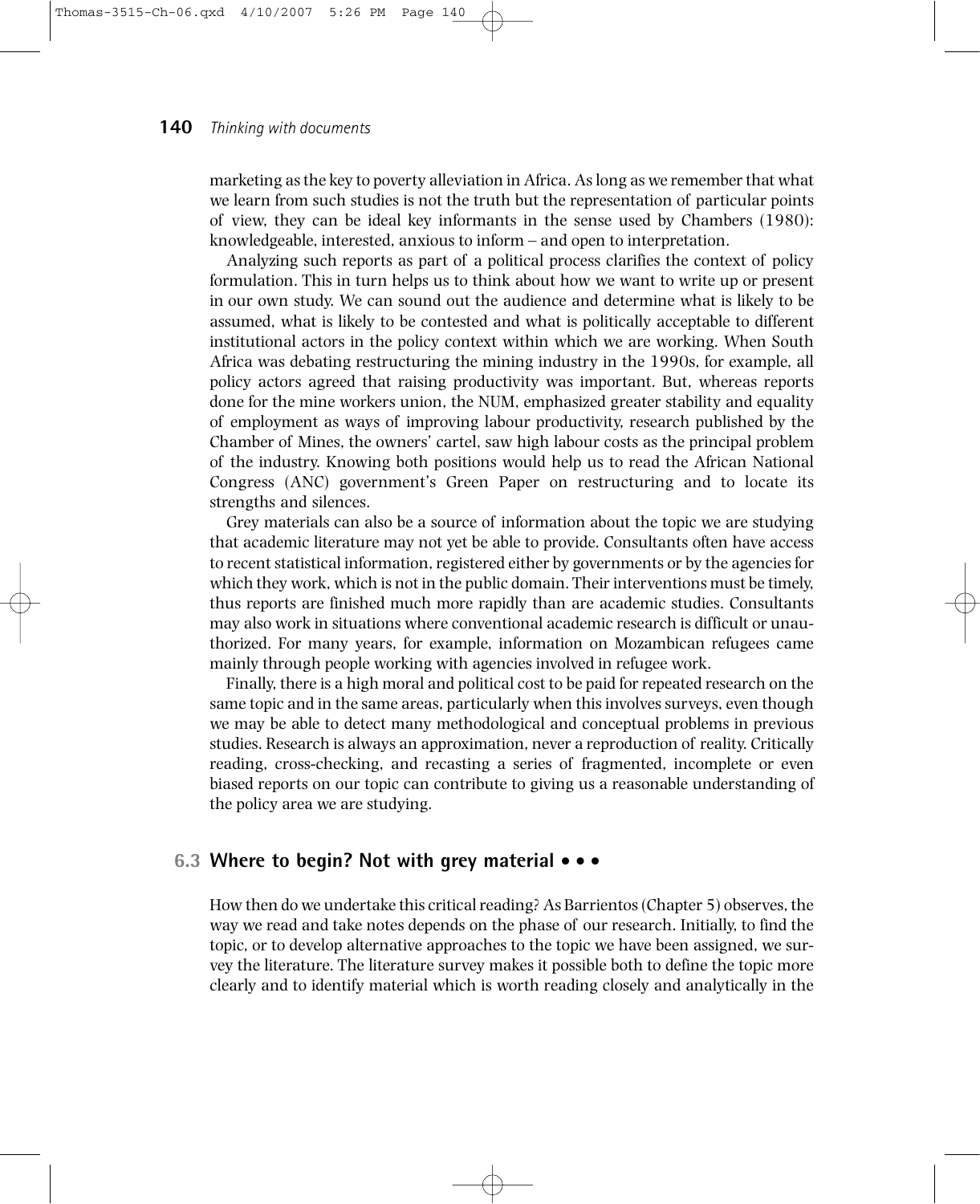marketing as the key to poverty alleviation in Africa. As long as we remember that what we learn from such studies is not the truth but the representation of particular points of view, they can be ideal key informants in the sense used by Chambers (1980): knowledgeable, interested, anxious to inform – and open to interpretation.

Analyzing such reports as part of a political process clarifies the context of policy formulation. This in turn helps us to think about how we want to write up or present in our own study. We can sound out the audience and determine what is likely to be assumed, what is likely to be contested and what is politically acceptable to different institutional actors in the policy context within which we are working. When South Africa was debating restructuring the mining industry in the 1990s, for example, all policy actors agreed that raising productivity was important. But, whereas reports done for the mine workers union, the NUM, emphasized greater stability and equality of employment as ways of improving labour productivity, research published by the Chamber of Mines, the owners' cartel, saw high labour costs as the principal problem of the industry. Knowing both positions would help us to read the African National Congress (ANC) government's Green Paper on restructuring and to locate its strengths and silences.

Grey materials can also be a source of information about the topic we are studying that academic literature may not yet be able to provide. Consultants often have access to recent statistical information, registered either by governments or by the agencies for which they work, which is not in the public domain. Their interventions must be timely, thus reports are finished much more rapidly than are academic studies. Consultants may also work in situations where conventional academic research is difficult or unauthorized. For many years, for example, information on Mozambican refugees came mainly through people working with agencies involved in refugee work.

Finally, there is a high moral and political cost to be paid for repeated research on the same topic and in the same areas, particularly when this involves surveys, even though we may be able to detect many methodological and conceptual problems in previous studies. Research is always an approximation, never a reproduction of reality. Critically reading, cross-checking, and recasting a series of fragmented, incomplete or even biased reports on our topic can contribute to giving us a reasonable understanding of the policy area we are studying.

### **6.3 Where to begin? Not with grey material** • • •

How then do we undertake this critical reading? As Barrientos (Chapter 5) observes, the way we read and take notes depends on the phase of our research. Initially, to find the topic, or to develop alternative approaches to the topic we have been assigned, we survey the literature. The literature survey makes it possible both to define the topic more clearly and to identify material which is worth reading closely and analytically in the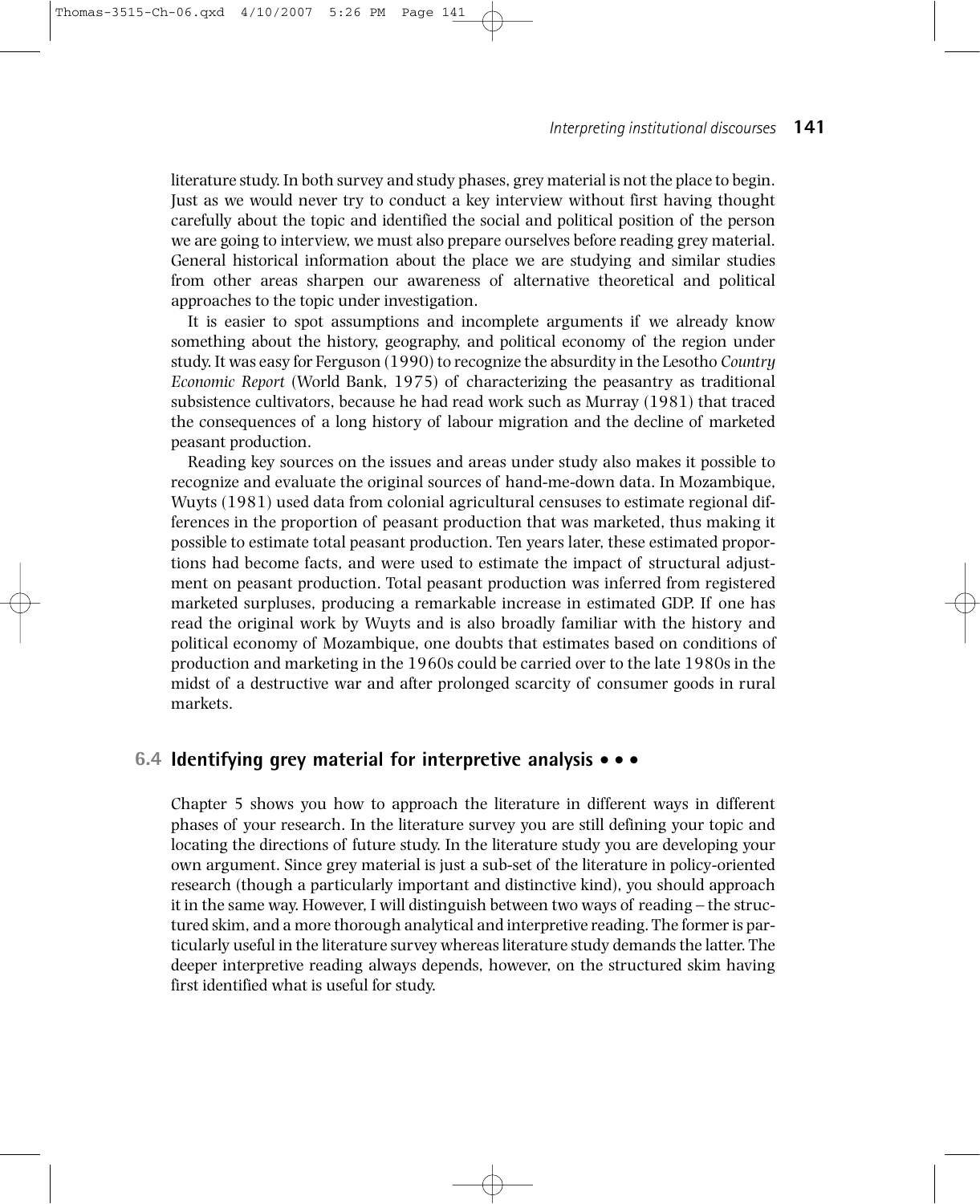literature study. In both survey and study phases, grey material is not the place to begin. Just as we would never try to conduct a key interview without first having thought carefully about the topic and identified the social and political position of the person we are going to interview, we must also prepare ourselves before reading grey material. General historical information about the place we are studying and similar studies from other areas sharpen our awareness of alternative theoretical and political approaches to the topic under investigation.

It is easier to spot assumptions and incomplete arguments if we already know something about the history, geography, and political economy of the region under study. It was easy for Ferguson (1990) to recognize the absurdity in the Lesotho *Country Economic Report* (World Bank, 1975) of characterizing the peasantry as traditional subsistence cultivators, because he had read work such as Murray (1981) that traced the consequences of a long history of labour migration and the decline of marketed peasant production.

Reading key sources on the issues and areas under study also makes it possible to recognize and evaluate the original sources of hand-me-down data. In Mozambique, Wuyts (1981) used data from colonial agricultural censuses to estimate regional differences in the proportion of peasant production that was marketed, thus making it possible to estimate total peasant production. Ten years later, these estimated proportions had become facts, and were used to estimate the impact of structural adjustment on peasant production. Total peasant production was inferred from registered marketed surpluses, producing a remarkable increase in estimated GDP. If one has read the original work by Wuyts and is also broadly familiar with the history and political economy of Mozambique, one doubts that estimates based on conditions of production and marketing in the 1960s could be carried over to the late 1980s in the midst of a destructive war and after prolonged scarcity of consumer goods in rural markets.

## **6.4 Identifying grey material for interpretive analysis** • • •

Chapter 5 shows you how to approach the literature in different ways in different phases of your research. In the literature survey you are still defining your topic and locating the directions of future study. In the literature study you are developing your own argument. Since grey material is just a sub-set of the literature in policy-oriented research (though a particularly important and distinctive kind), you should approach it in the same way. However, I will distinguish between two ways of reading – the structured skim, and a more thorough analytical and interpretive reading. The former is particularly useful in the literature survey whereas literature study demands the latter. The deeper interpretive reading always depends, however, on the structured skim having first identified what is useful for study.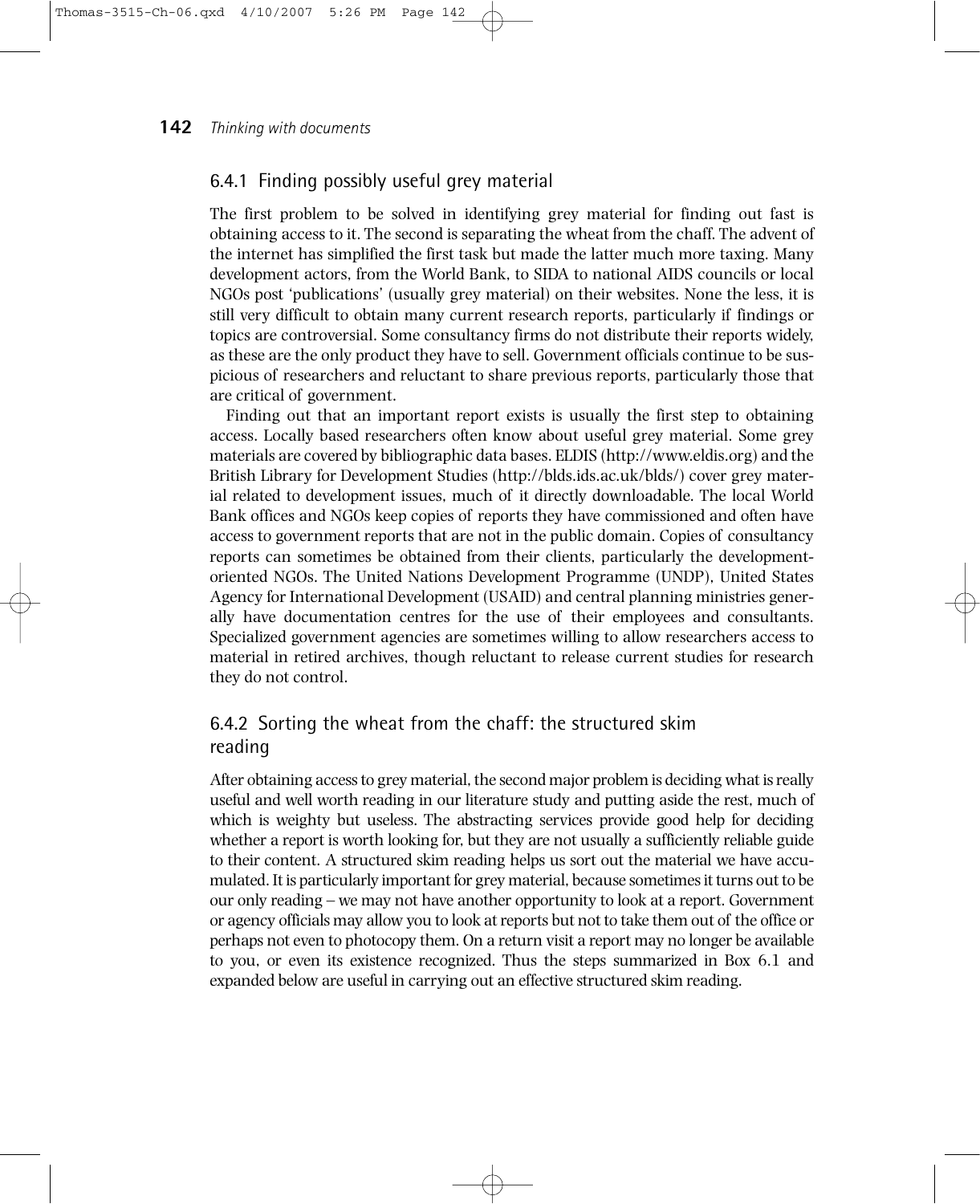### 6.4.1 Finding possibly useful grey material

The first problem to be solved in identifying grey material for finding out fast is obtaining access to it. The second is separating the wheat from the chaff. The advent of the internet has simplified the first task but made the latter much more taxing. Many development actors, from the World Bank, to SIDA to national AIDS councils or local NGOs post 'publications' (usually grey material) on their websites. None the less, it is still very difficult to obtain many current research reports, particularly if findings or topics are controversial. Some consultancy firms do not distribute their reports widely, as these are the only product they have to sell. Government officials continue to be suspicious of researchers and reluctant to share previous reports, particularly those that are critical of government.

Finding out that an important report exists is usually the first step to obtaining access. Locally based researchers often know about useful grey material. Some grey materials are covered by bibliographic data bases. ELDIS (http://www.eldis.org) and the British Library for Development Studies (http://blds.ids.ac.uk/blds/) cover grey material related to development issues, much of it directly downloadable. The local World Bank offices and NGOs keep copies of reports they have commissioned and often have access to government reports that are not in the public domain. Copies of consultancy reports can sometimes be obtained from their clients, particularly the developmentoriented NGOs. The United Nations Development Programme (UNDP), United States Agency for International Development (USAID) and central planning ministries generally have documentation centres for the use of their employees and consultants. Specialized government agencies are sometimes willing to allow researchers access to material in retired archives, though reluctant to release current studies for research they do not control.

# 6.4.2 Sorting the wheat from the chaff: the structured skim reading

After obtaining access to grey material, the second major problem is deciding what is really useful and well worth reading in our literature study and putting aside the rest, much of which is weighty but useless. The abstracting services provide good help for deciding whether a report is worth looking for, but they are not usually a sufficiently reliable guide to their content. A structured skim reading helps us sort out the material we have accumulated. It is particularly important for grey material, because sometimes it turns out to be our only reading – we may not have another opportunity to look at a report. Government or agency officials may allow you to look at reports but not to take them out of the office or perhaps not even to photocopy them. On a return visit a report may no longer be available to you, or even its existence recognized. Thus the steps summarized in Box 6.1 and expanded below are useful in carrying out an effective structured skim reading.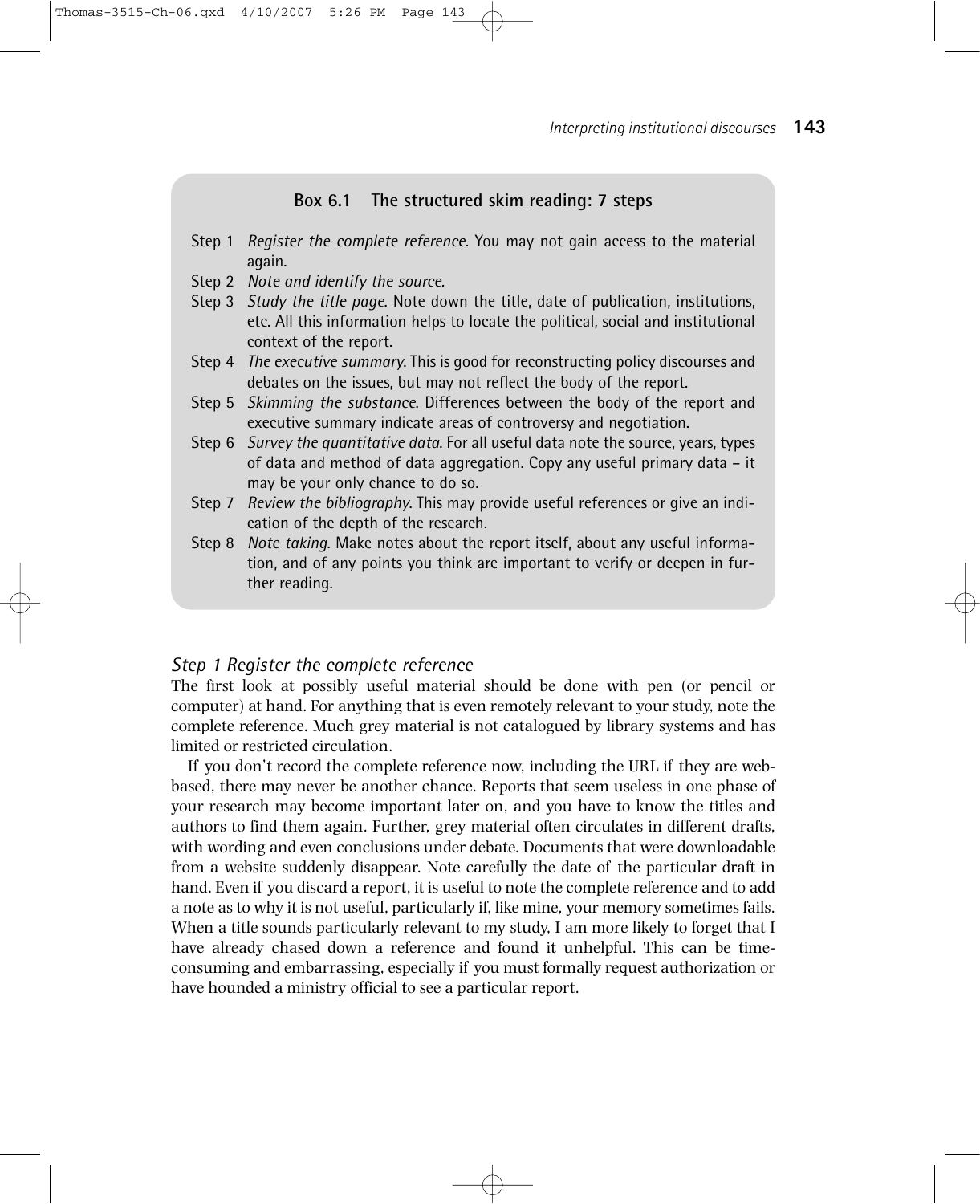## **Box 6.1 The structured skim reading: 7 steps**

- Step 1 *Register the complete reference.* You may not gain access to the material again.
- Step 2 *Note and identify the source.*
- Step 3 *Study the title page*. Note down the title, date of publication, institutions, etc. All this information helps to locate the political, social and institutional context of the report.
- Step 4 *The executive summary*. This is good for reconstructing policy discourses and debates on the issues, but may not reflect the body of the report.
- Step 5 *Skimming the substance*. Differences between the body of the report and executive summary indicate areas of controversy and negotiation.
- Step 6 *Survey the quantitative data*. For all useful data note the source, years, types of data and method of data aggregation. Copy any useful primary data – it may be your only chance to do so.
- Step 7 *Review the bibliography*. This may provide useful references or give an indication of the depth of the research.
- Step 8 *Note taking*. Make notes about the report itself, about any useful information, and of any points you think are important to verify or deepen in further reading.

### *Step 1 Register the complete reference*

The first look at possibly useful material should be done with pen (or pencil or computer) at hand. For anything that is even remotely relevant to your study, note the complete reference. Much grey material is not catalogued by library systems and has limited or restricted circulation.

If you don't record the complete reference now, including the URL if they are webbased, there may never be another chance. Reports that seem useless in one phase of your research may become important later on, and you have to know the titles and authors to find them again. Further, grey material often circulates in different drafts, with wording and even conclusions under debate. Documents that were downloadable from a website suddenly disappear. Note carefully the date of the particular draft in hand. Even if you discard a report, it is useful to note the complete reference and to add a note as to why it is not useful, particularly if, like mine, your memory sometimes fails. When a title sounds particularly relevant to my study, I am more likely to forget that I have already chased down a reference and found it unhelpful. This can be timeconsuming and embarrassing, especially if you must formally request authorization or have hounded a ministry official to see a particular report.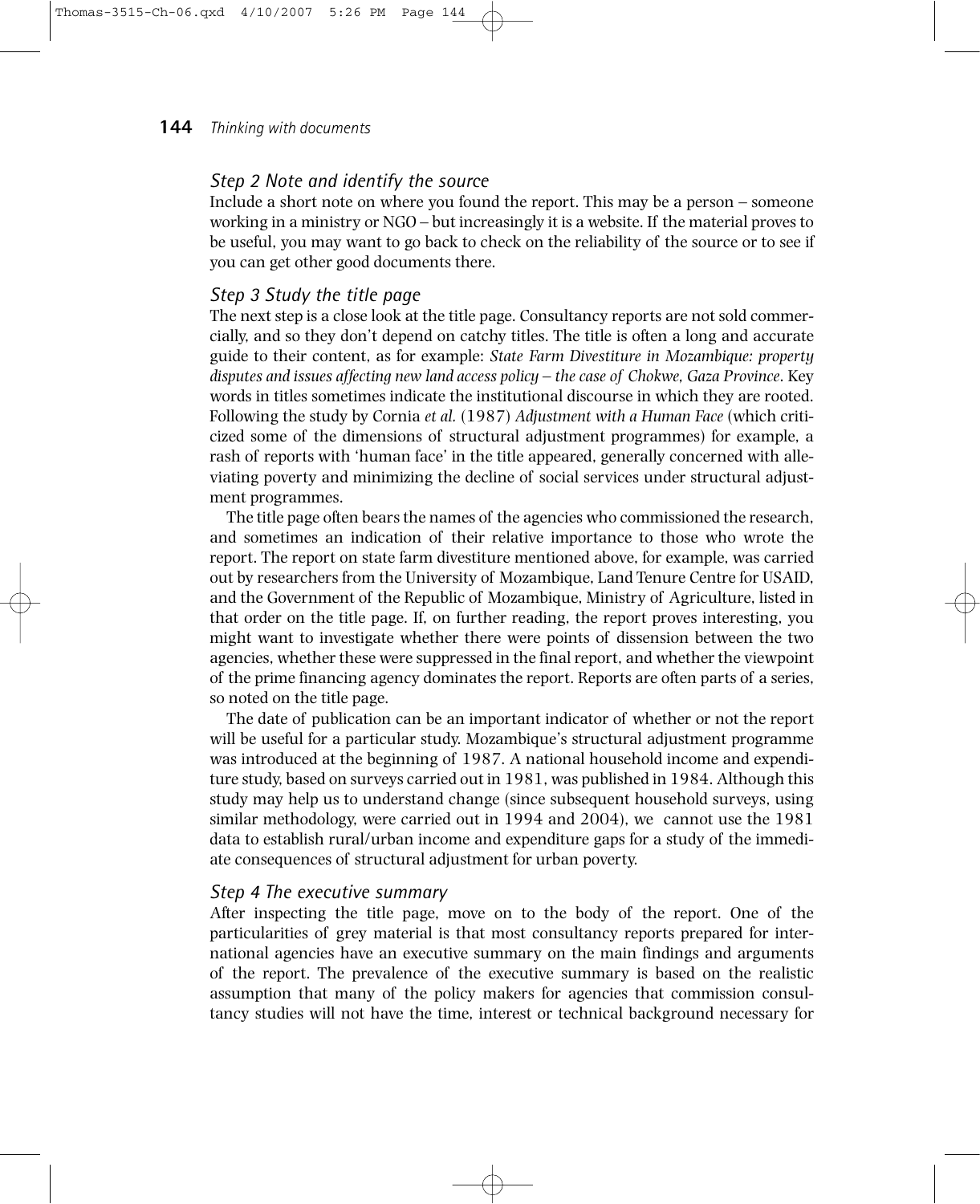#### *Step 2 Note and identify the source*

Include a short note on where you found the report. This may be a person – someone working in a ministry or NGO – but increasingly it is a website. If the material proves to be useful, you may want to go back to check on the reliability of the source or to see if you can get other good documents there.

#### *Step 3 Study the title page*

The next step is a close look at the title page. Consultancy reports are not sold commercially, and so they don't depend on catchy titles. The title is often a long and accurate guide to their content, as for example: *State Farm Divestiture in Mozambique: property disputes and issues affecting new land access policy – the case of Chokwe, Gaza Province*. Key words in titles sometimes indicate the institutional discourse in which they are rooted. Following the study by Cornia *et al.* (1987) *Adjustment with a Human Face* (which criticized some of the dimensions of structural adjustment programmes) for example, a rash of reports with 'human face' in the title appeared, generally concerned with alleviating poverty and minimizing the decline of social services under structural adjustment programmes.

The title page often bears the names of the agencies who commissioned the research, and sometimes an indication of their relative importance to those who wrote the report. The report on state farm divestiture mentioned above, for example, was carried out by researchers from the University of Mozambique, Land Tenure Centre for USAID, and the Government of the Republic of Mozambique, Ministry of Agriculture, listed in that order on the title page. If, on further reading, the report proves interesting, you might want to investigate whether there were points of dissension between the two agencies, whether these were suppressed in the final report, and whether the viewpoint of the prime financing agency dominates the report. Reports are often parts of a series, so noted on the title page.

The date of publication can be an important indicator of whether or not the report will be useful for a particular study. Mozambique's structural adjustment programme was introduced at the beginning of 1987. A national household income and expenditure study, based on surveys carried out in 1981, was published in 1984. Although this study may help us to understand change (since subsequent household surveys, using similar methodology, were carried out in 1994 and 2004), we cannot use the 1981 data to establish rural/urban income and expenditure gaps for a study of the immediate consequences of structural adjustment for urban poverty.

#### *Step 4 The executive summary*

After inspecting the title page, move on to the body of the report. One of the particularities of grey material is that most consultancy reports prepared for international agencies have an executive summary on the main findings and arguments of the report. The prevalence of the executive summary is based on the realistic assumption that many of the policy makers for agencies that commission consultancy studies will not have the time, interest or technical background necessary for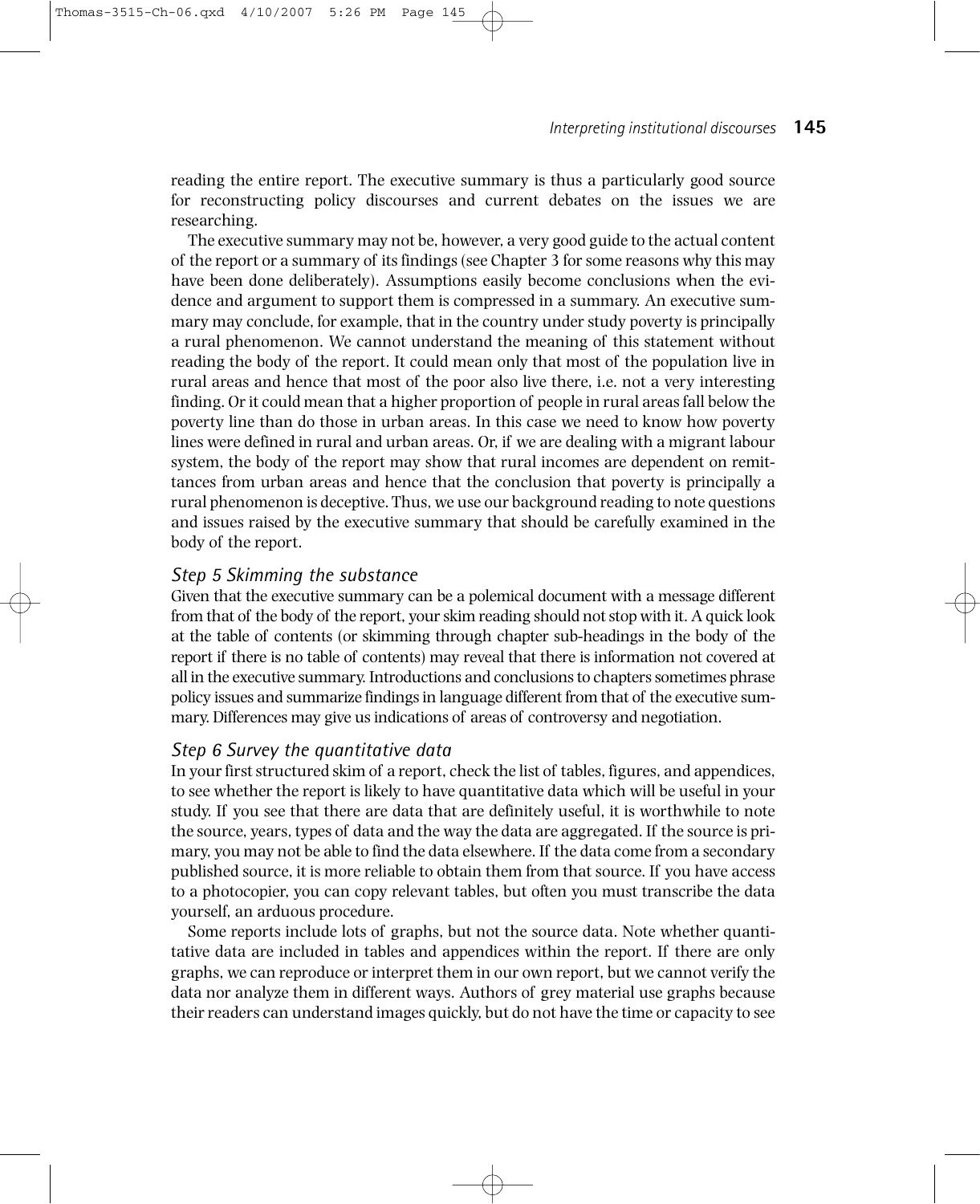reading the entire report. The executive summary is thus a particularly good source for reconstructing policy discourses and current debates on the issues we are researching.

The executive summary may not be, however, a very good guide to the actual content of the report or a summary of its findings (see Chapter 3 for some reasons why this may have been done deliberately). Assumptions easily become conclusions when the evidence and argument to support them is compressed in a summary. An executive summary may conclude, for example, that in the country under study poverty is principally a rural phenomenon. We cannot understand the meaning of this statement without reading the body of the report. It could mean only that most of the population live in rural areas and hence that most of the poor also live there, i.e. not a very interesting finding. Or it could mean that a higher proportion of people in rural areas fall below the poverty line than do those in urban areas. In this case we need to know how poverty lines were defined in rural and urban areas. Or, if we are dealing with a migrant labour system, the body of the report may show that rural incomes are dependent on remittances from urban areas and hence that the conclusion that poverty is principally a rural phenomenon is deceptive. Thus, we use our background reading to note questions and issues raised by the executive summary that should be carefully examined in the body of the report.

#### *Step 5 Skimming the substance*

Given that the executive summary can be a polemical document with a message different from that of the body of the report, your skim reading should not stop with it. A quick look at the table of contents (or skimming through chapter sub-headings in the body of the report if there is no table of contents) may reveal that there is information not covered at all in the executive summary. Introductions and conclusions to chapters sometimes phrase policy issues and summarize findings in language different from that of the executive summary. Differences may give us indications of areas of controversy and negotiation.

#### *Step 6 Survey the quantitative data*

In your first structured skim of a report, check the list of tables, figures, and appendices, to see whether the report is likely to have quantitative data which will be useful in your study. If you see that there are data that are definitely useful, it is worthwhile to note the source, years, types of data and the way the data are aggregated. If the source is primary, you may not be able to find the data elsewhere. If the data come from a secondary published source, it is more reliable to obtain them from that source. If you have access to a photocopier, you can copy relevant tables, but often you must transcribe the data yourself, an arduous procedure.

Some reports include lots of graphs, but not the source data. Note whether quantitative data are included in tables and appendices within the report. If there are only graphs, we can reproduce or interpret them in our own report, but we cannot verify the data nor analyze them in different ways. Authors of grey material use graphs because their readers can understand images quickly, but do not have the time or capacity to see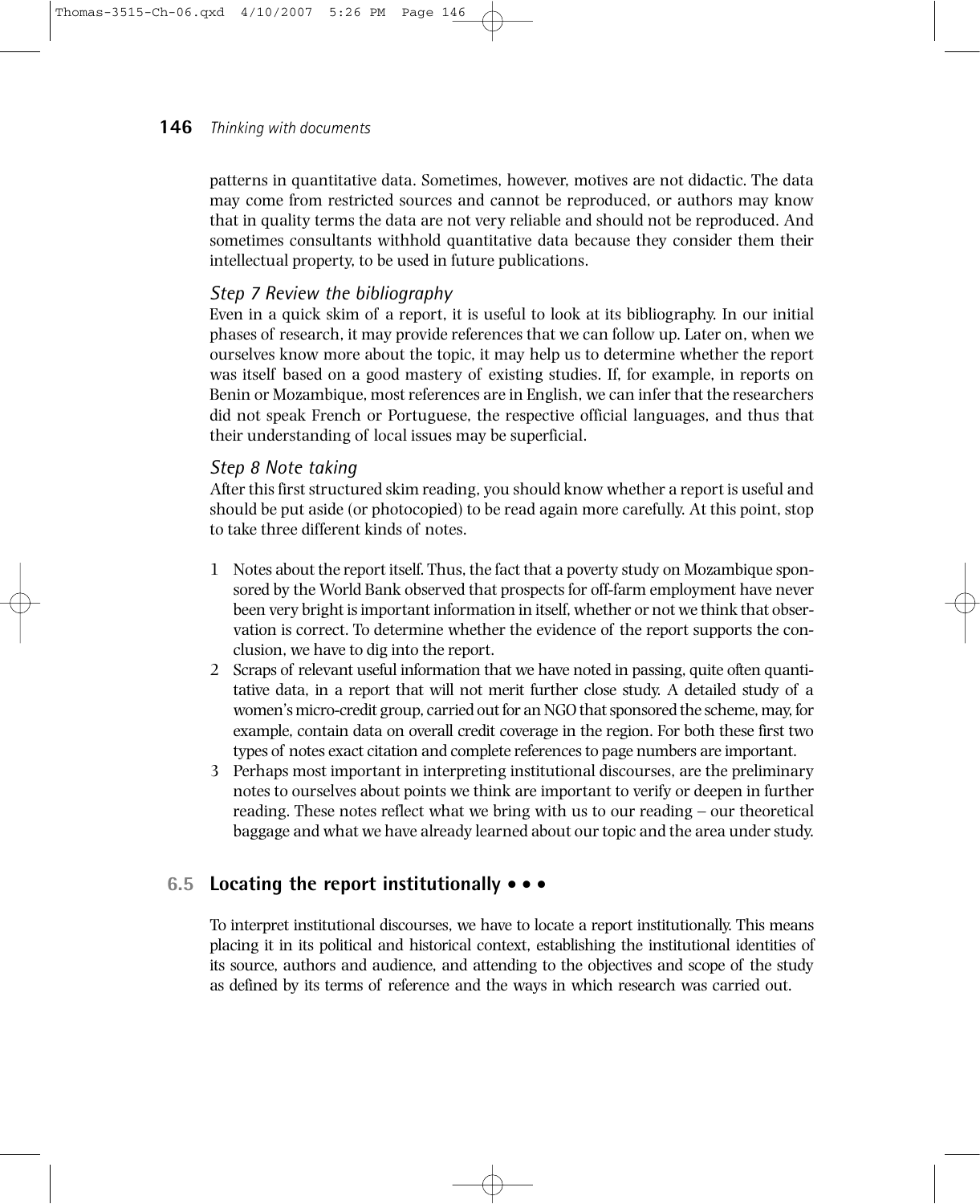### **146** *Thinking with documents*

patterns in quantitative data. Sometimes, however, motives are not didactic. The data may come from restricted sources and cannot be reproduced, or authors may know that in quality terms the data are not very reliable and should not be reproduced. And sometimes consultants withhold quantitative data because they consider them their intellectual property, to be used in future publications.

## *Step 7 Review the bibliography*

Even in a quick skim of a report, it is useful to look at its bibliography. In our initial phases of research, it may provide references that we can follow up. Later on, when we ourselves know more about the topic, it may help us to determine whether the report was itself based on a good mastery of existing studies. If, for example, in reports on Benin or Mozambique, most references are in English, we can infer that the researchers did not speak French or Portuguese, the respective official languages, and thus that their understanding of local issues may be superficial.

### *Step 8 Note taking*

After this first structured skim reading, you should know whether a report is useful and should be put aside (or photocopied) to be read again more carefully. At this point, stop to take three different kinds of notes.

- 1 Notes about the report itself. Thus, the fact that a poverty study on Mozambique sponsored by the World Bank observed that prospects for off-farm employment have never been very bright is important information in itself, whether or not we think that observation is correct. To determine whether the evidence of the report supports the conclusion, we have to dig into the report.
- 2 Scraps of relevant useful information that we have noted in passing, quite often quantitative data, in a report that will not merit further close study. A detailed study of a women's micro-credit group, carried out for an NGO that sponsored the scheme, may, for example, contain data on overall credit coverage in the region. For both these first two types of notes exact citation and complete references to page numbers are important.
- 3 Perhaps most important in interpreting institutional discourses, are the preliminary notes to ourselves about points we think are important to verify or deepen in further reading. These notes reflect what we bring with us to our reading – our theoretical baggage and what we have already learned about our topic and the area under study.

## **6.5 Locating the report institutionally** • • •

To interpret institutional discourses, we have to locate a report institutionally. This means placing it in its political and historical context, establishing the institutional identities of its source, authors and audience, and attending to the objectives and scope of the study as defined by its terms of reference and the ways in which research was carried out.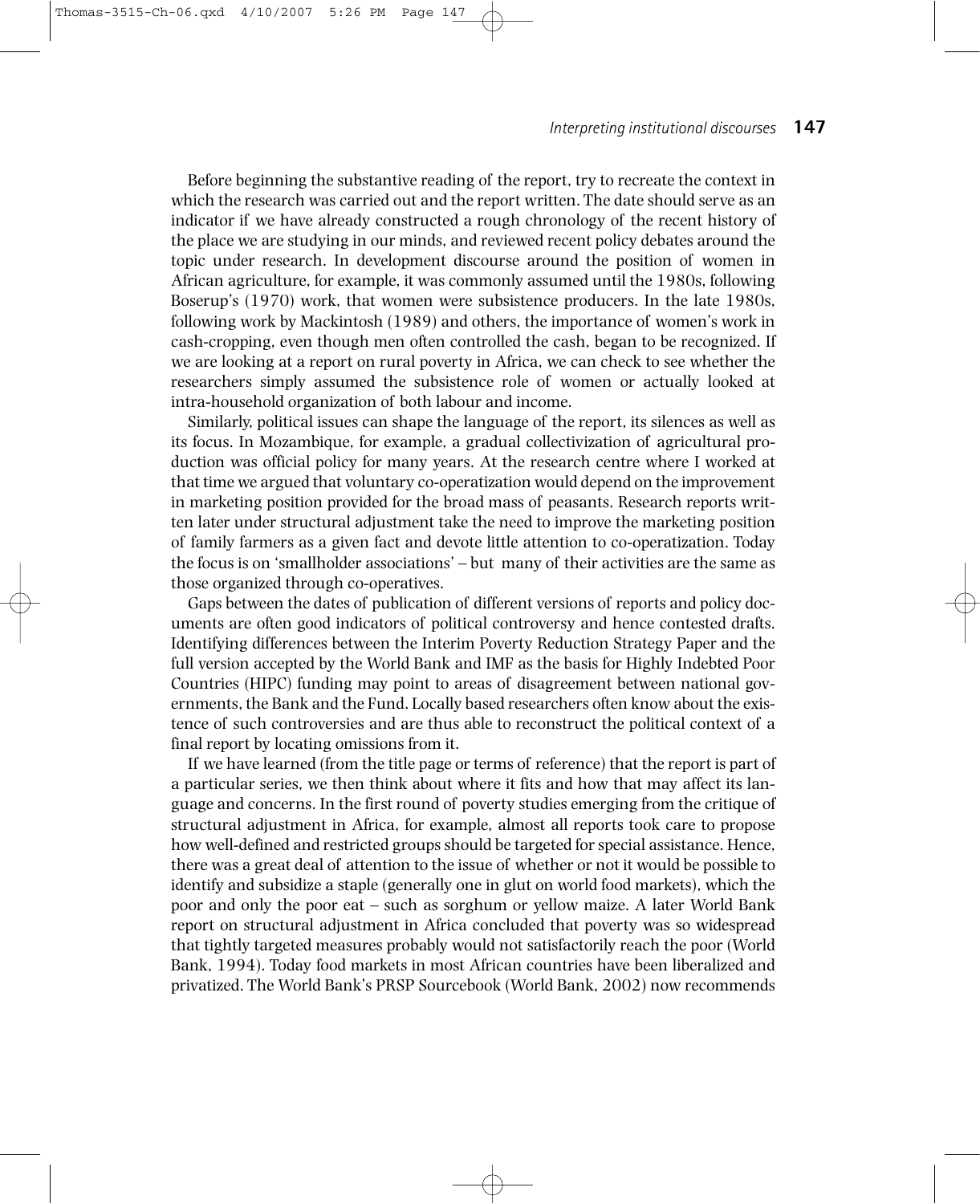Before beginning the substantive reading of the report, try to recreate the context in which the research was carried out and the report written. The date should serve as an indicator if we have already constructed a rough chronology of the recent history of the place we are studying in our minds, and reviewed recent policy debates around the topic under research. In development discourse around the position of women in African agriculture, for example, it was commonly assumed until the 1980s, following Boserup's (1970) work, that women were subsistence producers. In the late 1980s, following work by Mackintosh (1989) and others, the importance of women's work in cash-cropping, even though men often controlled the cash, began to be recognized. If we are looking at a report on rural poverty in Africa, we can check to see whether the researchers simply assumed the subsistence role of women or actually looked at intra-household organization of both labour and income.

Similarly, political issues can shape the language of the report, its silences as well as its focus. In Mozambique, for example, a gradual collectivization of agricultural production was official policy for many years. At the research centre where I worked at that time we argued that voluntary co-operatization would depend on the improvement in marketing position provided for the broad mass of peasants. Research reports written later under structural adjustment take the need to improve the marketing position of family farmers as a given fact and devote little attention to co-operatization. Today the focus is on 'smallholder associations' – but many of their activities are the same as those organized through co-operatives.

Gaps between the dates of publication of different versions of reports and policy documents are often good indicators of political controversy and hence contested drafts. Identifying differences between the Interim Poverty Reduction Strategy Paper and the full version accepted by the World Bank and IMF as the basis for Highly Indebted Poor Countries (HIPC) funding may point to areas of disagreement between national governments, the Bank and the Fund. Locally based researchers often know about the existence of such controversies and are thus able to reconstruct the political context of a final report by locating omissions from it.

If we have learned (from the title page or terms of reference) that the report is part of a particular series, we then think about where it fits and how that may affect its language and concerns. In the first round of poverty studies emerging from the critique of structural adjustment in Africa, for example, almost all reports took care to propose how well-defined and restricted groups should be targeted for special assistance. Hence, there was a great deal of attention to the issue of whether or not it would be possible to identify and subsidize a staple (generally one in glut on world food markets), which the poor and only the poor eat – such as sorghum or yellow maize. A later World Bank report on structural adjustment in Africa concluded that poverty was so widespread that tightly targeted measures probably would not satisfactorily reach the poor (World Bank, 1994). Today food markets in most African countries have been liberalized and privatized. The World Bank's PRSP Sourcebook (World Bank, 2002) now recommends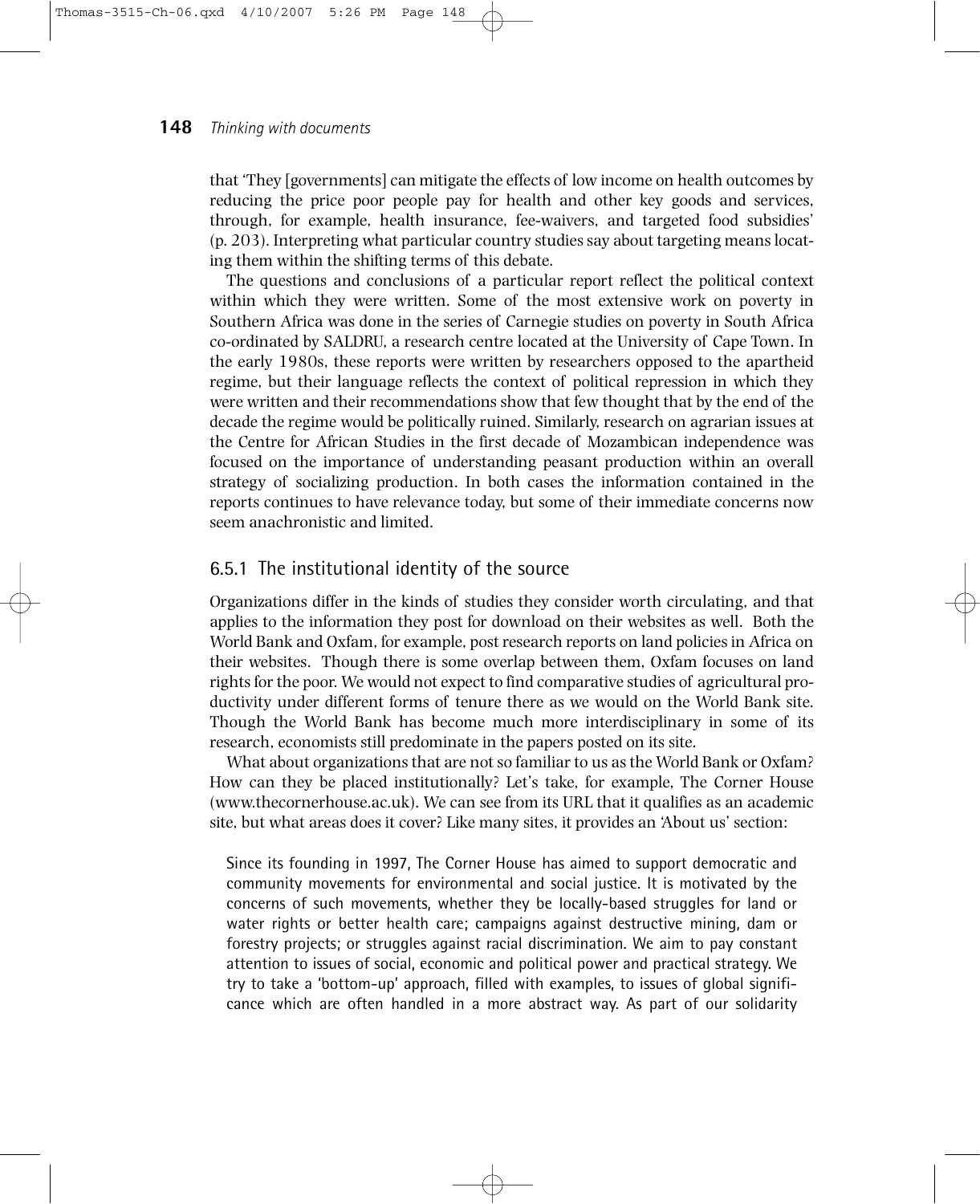that 'They [governments] can mitigate the effects of low income on health outcomes by reducing the price poor people pay for health and other key goods and services, through, for example, health insurance, fee-waivers, and targeted food subsidies' (p. 203). Interpreting what particular country studies say about targeting means locating them within the shifting terms of this debate.

The questions and conclusions of a particular report reflect the political context within which they were written. Some of the most extensive work on poverty in Southern Africa was done in the series of Carnegie studies on poverty in South Africa co-ordinated by SALDRU, a research centre located at the University of Cape Town. In the early 1980s, these reports were written by researchers opposed to the apartheid regime, but their language reflects the context of political repression in which they were written and their recommendations show that few thought that by the end of the decade the regime would be politically ruined. Similarly, research on agrarian issues at the Centre for African Studies in the first decade of Mozambican independence was focused on the importance of understanding peasant production within an overall strategy of socializing production. In both cases the information contained in the reports continues to have relevance today, but some of their immediate concerns now seem anachronistic and limited.

### 6.5.1 The institutional identity of the source

Organizations differ in the kinds of studies they consider worth circulating, and that applies to the information they post for download on their websites as well. Both the World Bank and Oxfam, for example, post research reports on land policies in Africa on their websites. Though there is some overlap between them, Oxfam focuses on land rights for the poor. We would not expect to find comparative studies of agricultural productivity under different forms of tenure there as we would on the World Bank site. Though the World Bank has become much more interdisciplinary in some of its research, economists still predominate in the papers posted on its site.

What about organizations that are not so familiar to us as the World Bank or Oxfam? How can they be placed institutionally? Let's take, for example, The Corner House (www.thecornerhouse.ac.uk). We can see from its URL that it qualifies as an academic site, but what areas does it cover? Like many sites, it provides an 'About us' section:

Since its founding in 1997, The Corner House has aimed to support democratic and community movements for environmental and social justice. It is motivated by the concerns of such movements, whether they be locally-based struggles for land or water rights or better health care; campaigns against destructive mining, dam or forestry projects; or struggles against racial discrimination. We aim to pay constant attention to issues of social, economic and political power and practical strategy. We try to take a 'bottom-up' approach, filled with examples, to issues of global significance which are often handled in a more abstract way. As part of our solidarity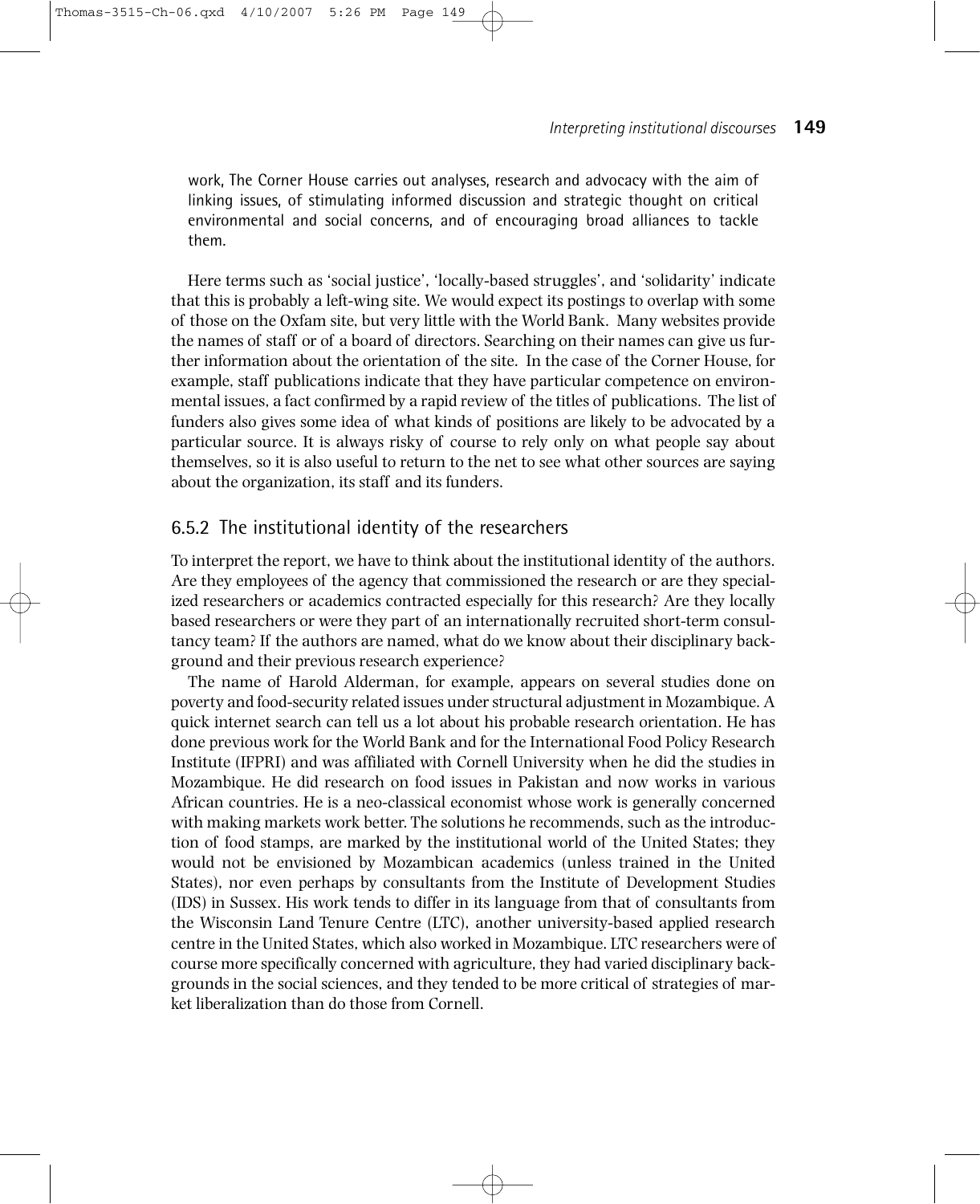work, The Corner House carries out analyses, research and advocacy with the aim of linking issues, of stimulating informed discussion and strategic thought on critical environmental and social concerns, and of encouraging broad alliances to tackle them.

Here terms such as 'social justice', 'locally-based struggles', and 'solidarity' indicate that this is probably a left-wing site. We would expect its postings to overlap with some of those on the Oxfam site, but very little with the World Bank. Many websites provide the names of staff or of a board of directors. Searching on their names can give us further information about the orientation of the site. In the case of the Corner House, for example, staff publications indicate that they have particular competence on environmental issues, a fact confirmed by a rapid review of the titles of publications. The list of funders also gives some idea of what kinds of positions are likely to be advocated by a particular source. It is always risky of course to rely only on what people say about themselves, so it is also useful to return to the net to see what other sources are saying about the organization, its staff and its funders.

#### 6.5.2 The institutional identity of the researchers

To interpret the report, we have to think about the institutional identity of the authors. Are they employees of the agency that commissioned the research or are they specialized researchers or academics contracted especially for this research? Are they locally based researchers or were they part of an internationally recruited short-term consultancy team? If the authors are named, what do we know about their disciplinary background and their previous research experience?

The name of Harold Alderman, for example, appears on several studies done on poverty and food-security related issues under structural adjustment in Mozambique. A quick internet search can tell us a lot about his probable research orientation. He has done previous work for the World Bank and for the International Food Policy Research Institute (IFPRI) and was affiliated with Cornell University when he did the studies in Mozambique. He did research on food issues in Pakistan and now works in various African countries. He is a neo-classical economist whose work is generally concerned with making markets work better. The solutions he recommends, such as the introduction of food stamps, are marked by the institutional world of the United States; they would not be envisioned by Mozambican academics (unless trained in the United States), nor even perhaps by consultants from the Institute of Development Studies (IDS) in Sussex. His work tends to differ in its language from that of consultants from the Wisconsin Land Tenure Centre (LTC), another university-based applied research centre in the United States, which also worked in Mozambique. LTC researchers were of course more specifically concerned with agriculture, they had varied disciplinary backgrounds in the social sciences, and they tended to be more critical of strategies of market liberalization than do those from Cornell.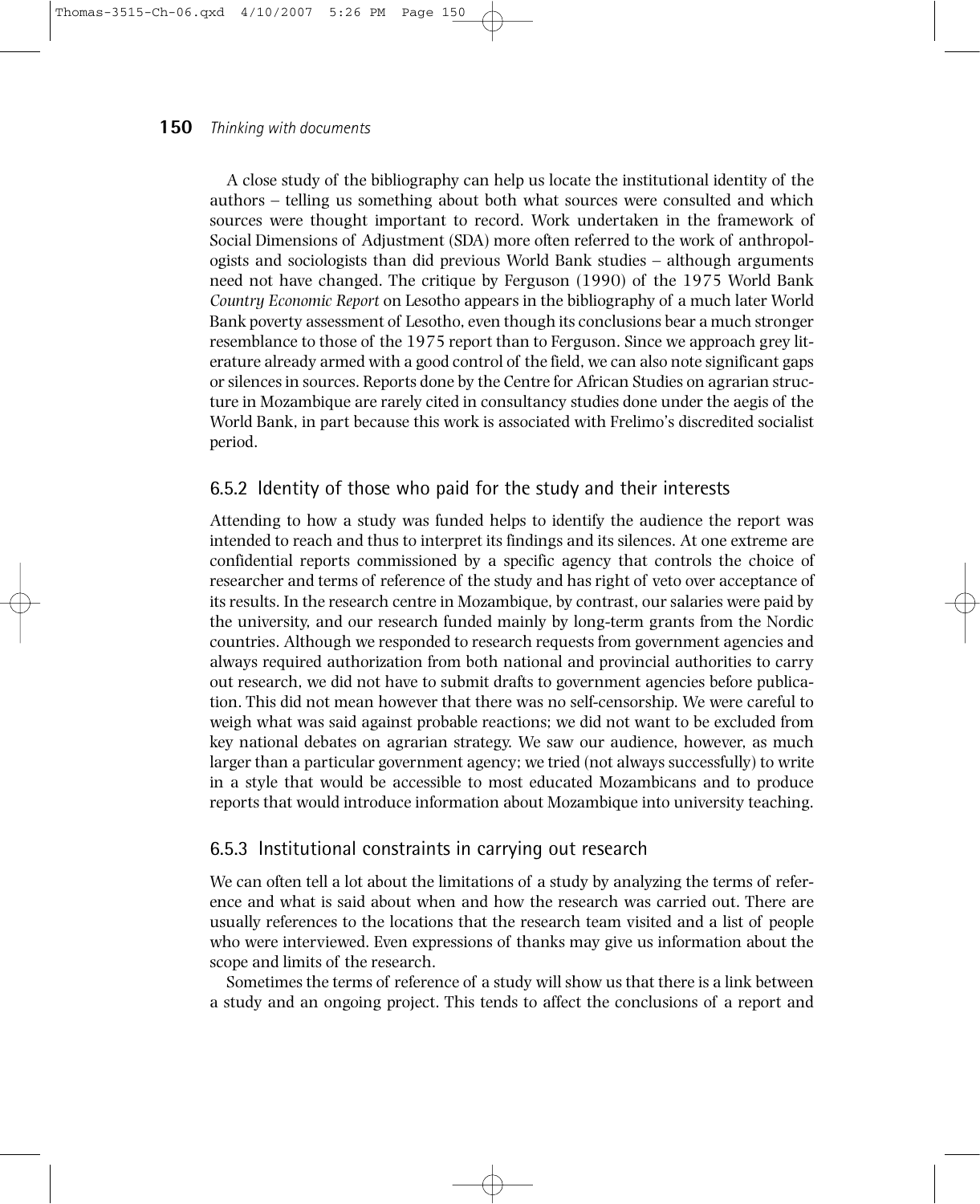A close study of the bibliography can help us locate the institutional identity of the authors – telling us something about both what sources were consulted and which sources were thought important to record. Work undertaken in the framework of Social Dimensions of Adjustment (SDA) more often referred to the work of anthropologists and sociologists than did previous World Bank studies – although arguments need not have changed. The critique by Ferguson (1990) of the 1975 World Bank *Country Economic Report* on Lesotho appears in the bibliography of a much later World Bank poverty assessment of Lesotho, even though its conclusions bear a much stronger resemblance to those of the 1975 report than to Ferguson. Since we approach grey literature already armed with a good control of the field, we can also note significant gaps or silences in sources. Reports done by the Centre for African Studies on agrarian structure in Mozambique are rarely cited in consultancy studies done under the aegis of the World Bank, in part because this work is associated with Frelimo's discredited socialist period.

## 6.5.2 Identity of those who paid for the study and their interests

Attending to how a study was funded helps to identify the audience the report was intended to reach and thus to interpret its findings and its silences. At one extreme are confidential reports commissioned by a specific agency that controls the choice of researcher and terms of reference of the study and has right of veto over acceptance of its results. In the research centre in Mozambique, by contrast, our salaries were paid by the university, and our research funded mainly by long-term grants from the Nordic countries. Although we responded to research requests from government agencies and always required authorization from both national and provincial authorities to carry out research, we did not have to submit drafts to government agencies before publication. This did not mean however that there was no self-censorship. We were careful to weigh what was said against probable reactions; we did not want to be excluded from key national debates on agrarian strategy. We saw our audience, however, as much larger than a particular government agency; we tried (not always successfully) to write in a style that would be accessible to most educated Mozambicans and to produce reports that would introduce information about Mozambique into university teaching.

## 6.5.3 Institutional constraints in carrying out research

We can often tell a lot about the limitations of a study by analyzing the terms of reference and what is said about when and how the research was carried out. There are usually references to the locations that the research team visited and a list of people who were interviewed. Even expressions of thanks may give us information about the scope and limits of the research.

Sometimes the terms of reference of a study will show us that there is a link between a study and an ongoing project. This tends to affect the conclusions of a report and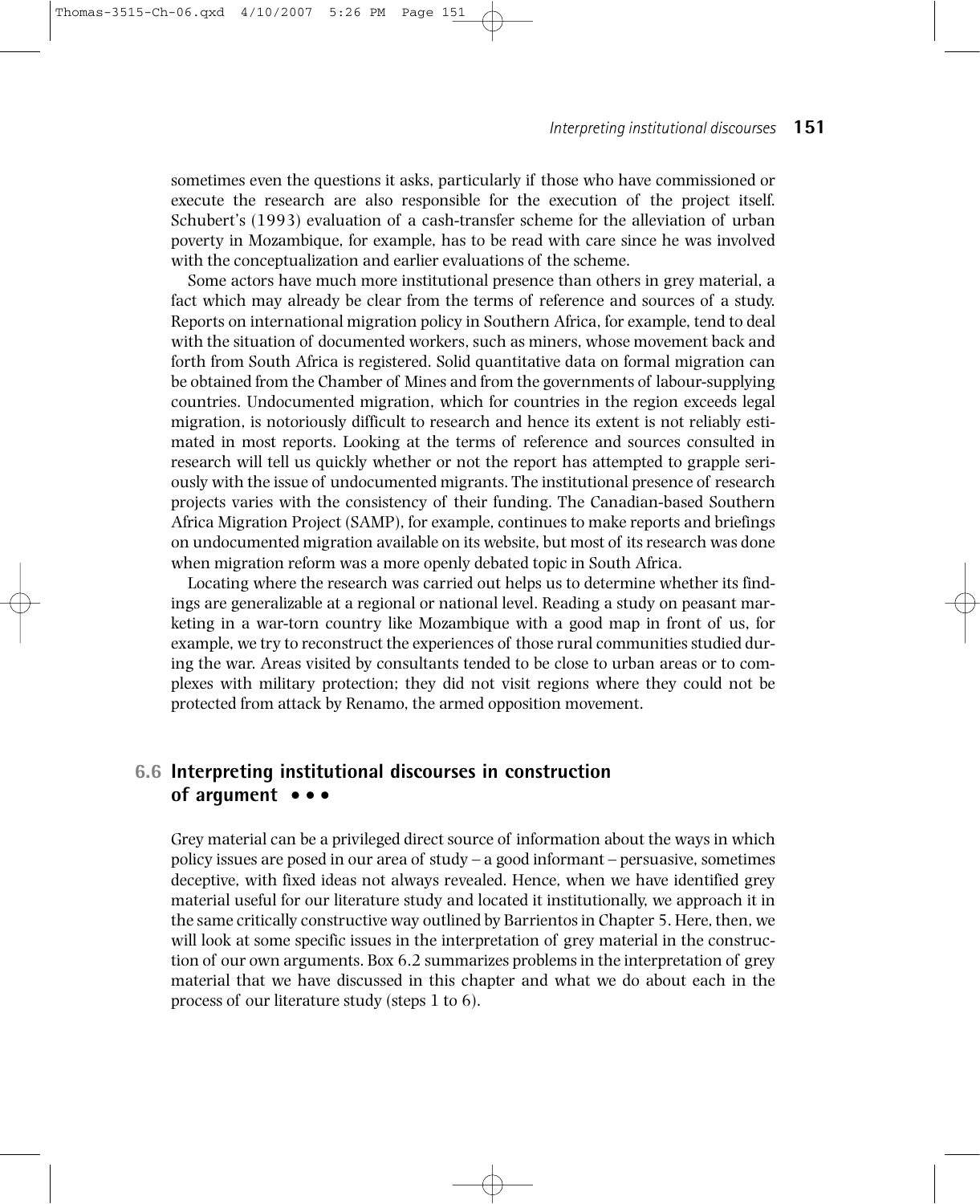sometimes even the questions it asks, particularly if those who have commissioned or execute the research are also responsible for the execution of the project itself. Schubert's (1993) evaluation of a cash-transfer scheme for the alleviation of urban poverty in Mozambique, for example, has to be read with care since he was involved with the conceptualization and earlier evaluations of the scheme.

Some actors have much more institutional presence than others in grey material, a fact which may already be clear from the terms of reference and sources of a study. Reports on international migration policy in Southern Africa, for example, tend to deal with the situation of documented workers, such as miners, whose movement back and forth from South Africa is registered. Solid quantitative data on formal migration can be obtained from the Chamber of Mines and from the governments of labour-supplying countries. Undocumented migration, which for countries in the region exceeds legal migration, is notoriously difficult to research and hence its extent is not reliably estimated in most reports. Looking at the terms of reference and sources consulted in research will tell us quickly whether or not the report has attempted to grapple seriously with the issue of undocumented migrants. The institutional presence of research projects varies with the consistency of their funding. The Canadian-based Southern Africa Migration Project (SAMP), for example, continues to make reports and briefings on undocumented migration available on its website, but most of its research was done when migration reform was a more openly debated topic in South Africa.

Locating where the research was carried out helps us to determine whether its findings are generalizable at a regional or national level. Reading a study on peasant marketing in a war-torn country like Mozambique with a good map in front of us, for example, we try to reconstruct the experiences of those rural communities studied during the war. Areas visited by consultants tended to be close to urban areas or to complexes with military protection; they did not visit regions where they could not be protected from attack by Renamo, the armed opposition movement.

## **6.6 Interpreting institutional discourses in construction of argument** • • •

Grey material can be a privileged direct source of information about the ways in which policy issues are posed in our area of study – a good informant – persuasive, sometimes deceptive, with fixed ideas not always revealed. Hence, when we have identified grey material useful for our literature study and located it institutionally, we approach it in the same critically constructive way outlined by Barrientos in Chapter 5. Here, then, we will look at some specific issues in the interpretation of grey material in the construction of our own arguments. Box 6.2 summarizes problems in the interpretation of grey material that we have discussed in this chapter and what we do about each in the process of our literature study (steps 1 to 6).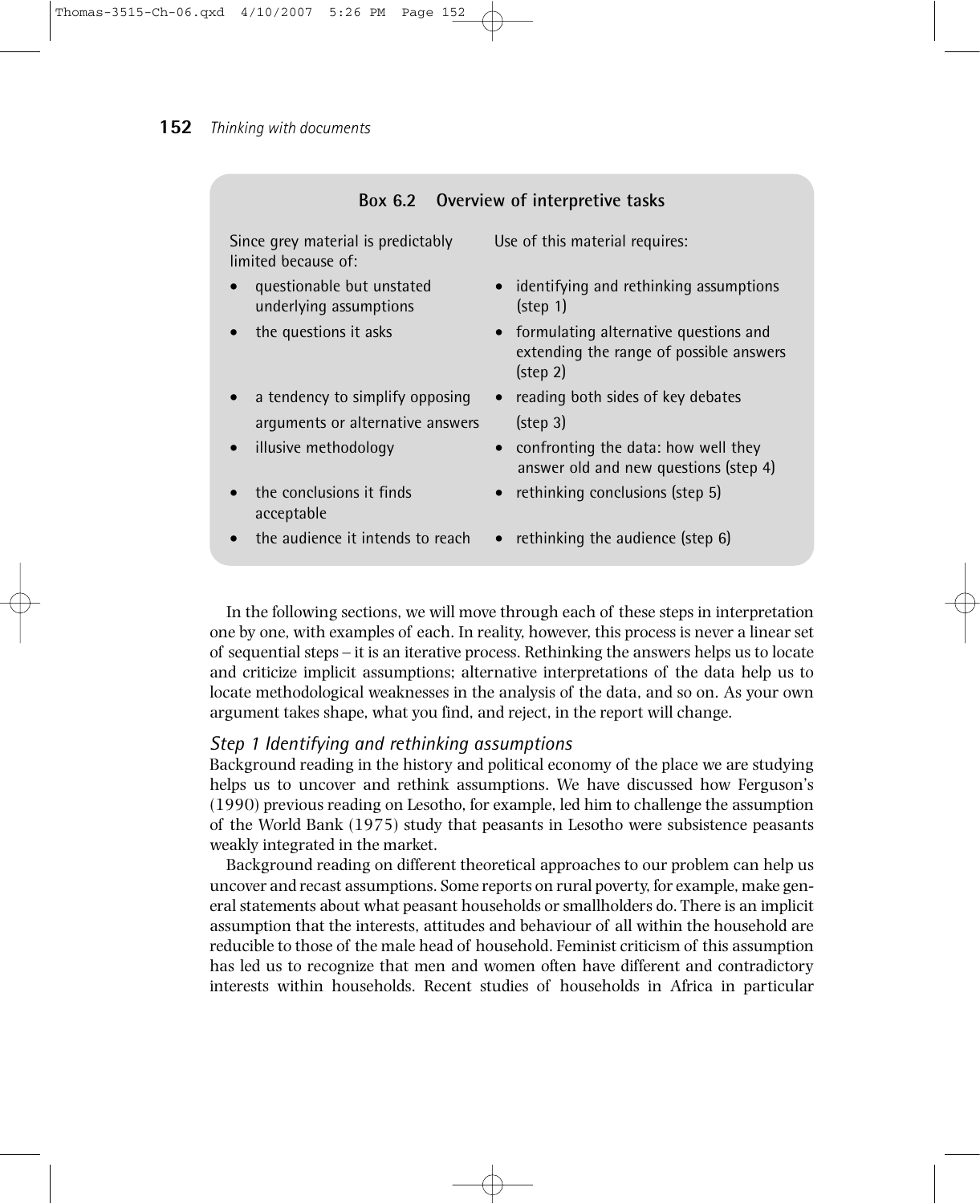| <b>DOX 6.2 DVERVIEW OF INTERPRETTIVE LASKS</b>                   |                                                                                                          |
|------------------------------------------------------------------|----------------------------------------------------------------------------------------------------------|
| Since grey material is predictably<br>limited because of:        | Use of this material requires:                                                                           |
| questionable but unstated<br>$\bullet$<br>underlying assumptions | • identifying and rethinking assumptions<br>$(\text{step 1})$                                            |
| • the questions it asks                                          | • formulating alternative questions and<br>extending the range of possible answers<br>$(\text{step } 2)$ |
| a tendency to simplify opposing<br>$\bullet$                     | reading both sides of key debates                                                                        |
| arguments or alternative answers                                 | $(step 3)$                                                                                               |
| illusive methodology<br>$\bullet$                                | • confronting the data: how well they<br>answer old and new questions (step 4)                           |
| the conclusions it finds<br>$\bullet$<br>acceptable              | rethinking conclusions (step 5)                                                                          |
| the audience it intends to reach<br>$\bullet$                    | • rethinking the audience (step 6)                                                                       |
|                                                                  |                                                                                                          |

**Box 6.2 Overview of interpretive tasks** 

- 
- 
- 
- 
- $a$
- 

In the following sections, we will move through each of these steps in interpretation one by one, with examples of each. In reality, however, this process is never a linear set of sequential steps – it is an iterative process. Rethinking the answers helps us to locate and criticize implicit assumptions; alternative interpretations of the data help us to locate methodological weaknesses in the analysis of the data, and so on. As your own argument takes shape, what you find, and reject, in the report will change.

## *Step 1 Identifying and rethinking assumptions*

Background reading in the history and political economy of the place we are studying helps us to uncover and rethink assumptions. We have discussed how Ferguson's (1990) previous reading on Lesotho, for example, led him to challenge the assumption of the World Bank (1975) study that peasants in Lesotho were subsistence peasants weakly integrated in the market.

Background reading on different theoretical approaches to our problem can help us uncover and recast assumptions. Some reports on rural poverty, for example, make general statements about what peasant households or smallholders do. There is an implicit assumption that the interests, attitudes and behaviour of all within the household are reducible to those of the male head of household. Feminist criticism of this assumption has led us to recognize that men and women often have different and contradictory interests within households. Recent studies of households in Africa in particular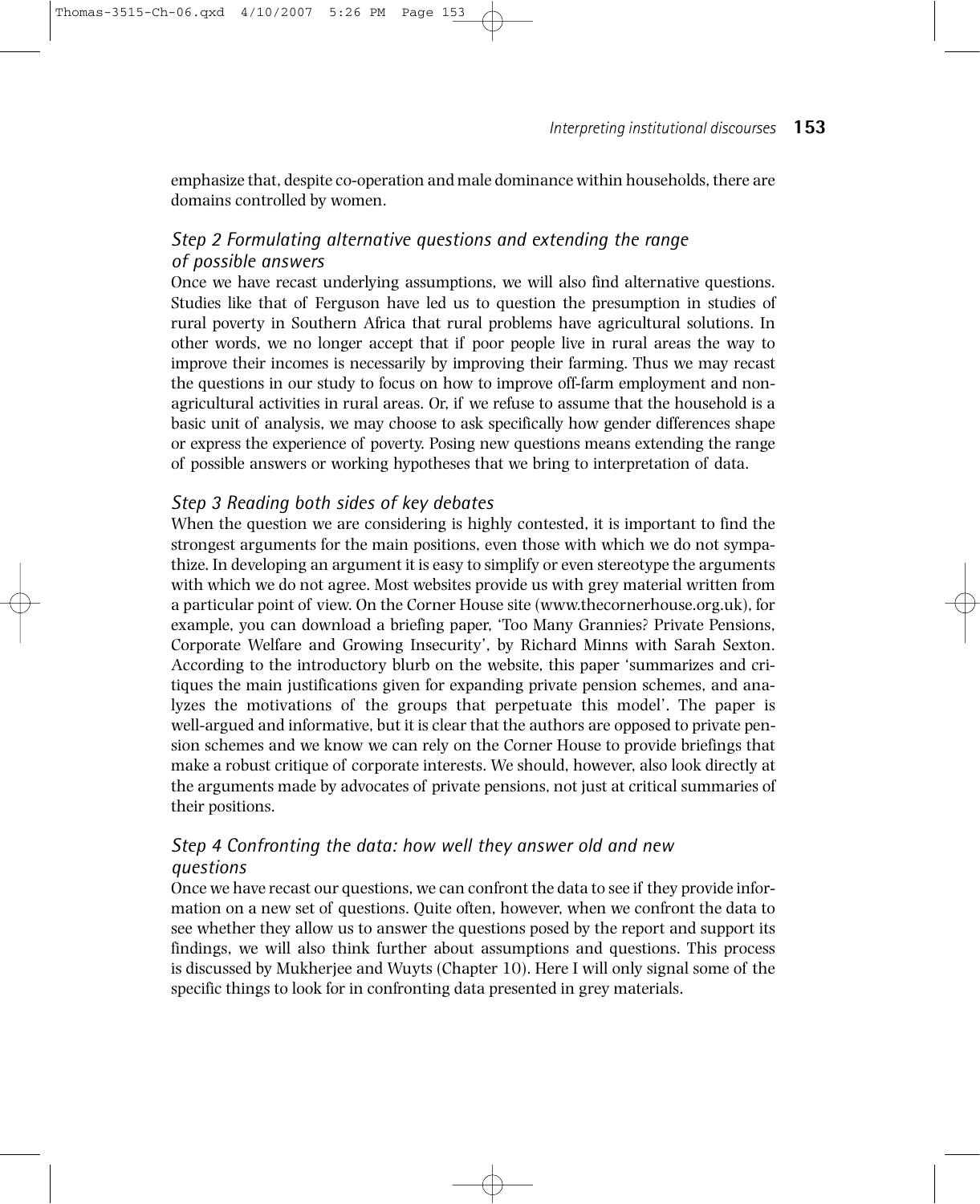emphasize that, despite co-operation and male dominance within households, there are domains controlled by women.

## *Step 2 Formulating alternative questions and extending the range of possible answers*

Once we have recast underlying assumptions, we will also find alternative questions. Studies like that of Ferguson have led us to question the presumption in studies of rural poverty in Southern Africa that rural problems have agricultural solutions. In other words, we no longer accept that if poor people live in rural areas the way to improve their incomes is necessarily by improving their farming. Thus we may recast the questions in our study to focus on how to improve off-farm employment and nonagricultural activities in rural areas. Or, if we refuse to assume that the household is a basic unit of analysis, we may choose to ask specifically how gender differences shape or express the experience of poverty. Posing new questions means extending the range of possible answers or working hypotheses that we bring to interpretation of data.

## *Step 3 Reading both sides of key debates*

When the question we are considering is highly contested, it is important to find the strongest arguments for the main positions, even those with which we do not sympathize. In developing an argument it is easy to simplify or even stereotype the arguments with which we do not agree. Most websites provide us with grey material written from a particular point of view. On the Corner House site (www.thecornerhouse.org.uk), for example, you can download a briefing paper, 'Too Many Grannies? Private Pensions, Corporate Welfare and Growing Insecurity', by Richard Minns with Sarah Sexton. According to the introductory blurb on the website, this paper 'summarizes and critiques the main justifications given for expanding private pension schemes, and analyzes the motivations of the groups that perpetuate this model'. The paper is well-argued and informative, but it is clear that the authors are opposed to private pension schemes and we know we can rely on the Corner House to provide briefings that make a robust critique of corporate interests. We should, however, also look directly at the arguments made by advocates of private pensions, not just at critical summaries of their positions.

## *Step 4 Confronting the data: how well they answer old and new questions*

Once we have recast our questions, we can confront the data to see if they provide information on a new set of questions. Quite often, however, when we confront the data to see whether they allow us to answer the questions posed by the report and support its findings, we will also think further about assumptions and questions. This process is discussed by Mukherjee and Wuyts (Chapter 10). Here I will only signal some of the specific things to look for in confronting data presented in grey materials.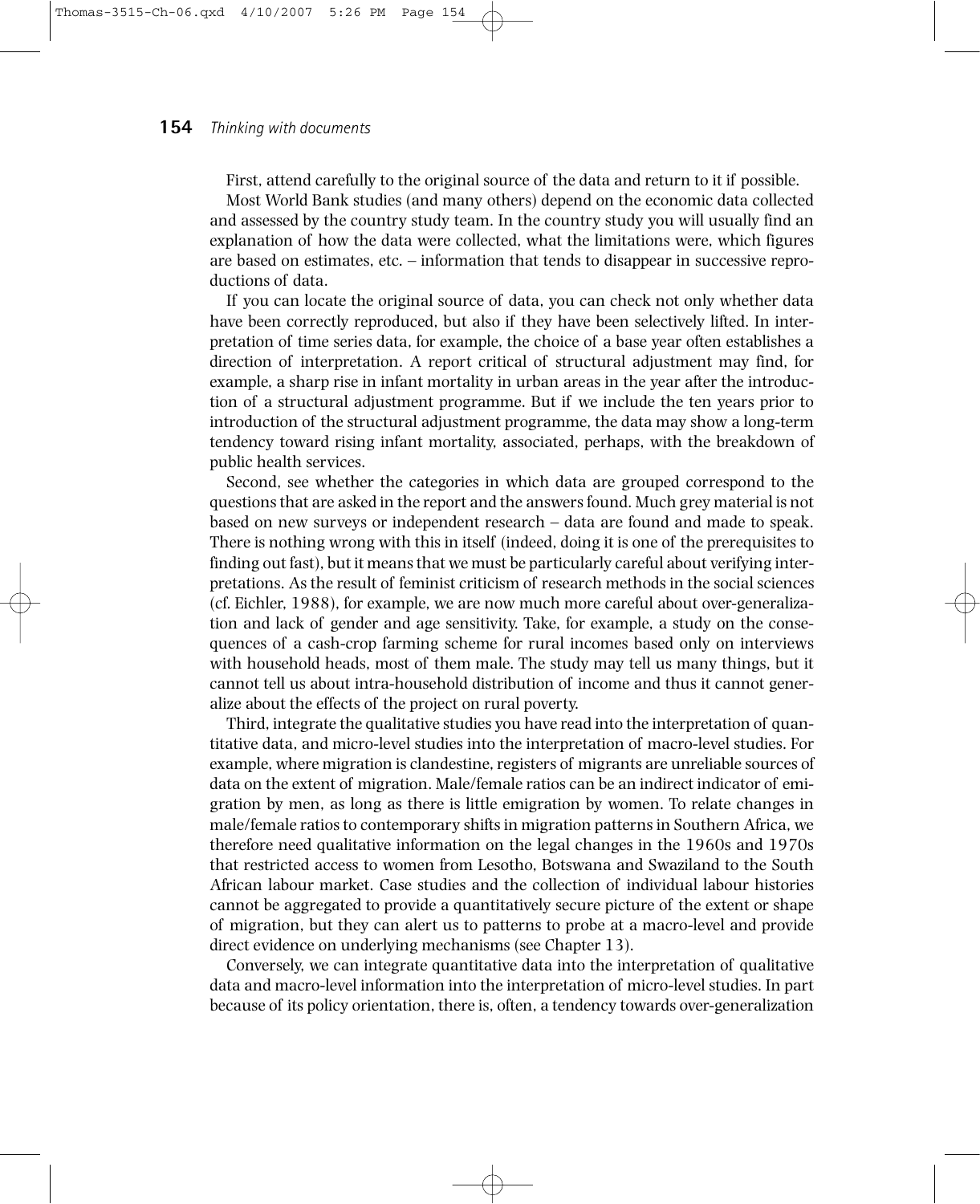First, attend carefully to the original source of the data and return to it if possible.

Most World Bank studies (and many others) depend on the economic data collected and assessed by the country study team. In the country study you will usually find an explanation of how the data were collected, what the limitations were, which figures are based on estimates, etc. – information that tends to disappear in successive reproductions of data.

If you can locate the original source of data, you can check not only whether data have been correctly reproduced, but also if they have been selectively lifted. In interpretation of time series data, for example, the choice of a base year often establishes a direction of interpretation. A report critical of structural adjustment may find, for example, a sharp rise in infant mortality in urban areas in the year after the introduction of a structural adjustment programme. But if we include the ten years prior to introduction of the structural adjustment programme, the data may show a long-term tendency toward rising infant mortality, associated, perhaps, with the breakdown of public health services.

Second, see whether the categories in which data are grouped correspond to the questions that are asked in the report and the answers found. Much grey material is not based on new surveys or independent research – data are found and made to speak. There is nothing wrong with this in itself (indeed, doing it is one of the prerequisites to finding out fast), but it means that we must be particularly careful about verifying interpretations. As the result of feminist criticism of research methods in the social sciences (cf. Eichler, 1988), for example, we are now much more careful about over-generalization and lack of gender and age sensitivity. Take, for example, a study on the consequences of a cash-crop farming scheme for rural incomes based only on interviews with household heads, most of them male. The study may tell us many things, but it cannot tell us about intra-household distribution of income and thus it cannot generalize about the effects of the project on rural poverty.

Third, integrate the qualitative studies you have read into the interpretation of quantitative data, and micro-level studies into the interpretation of macro-level studies. For example, where migration is clandestine, registers of migrants are unreliable sources of data on the extent of migration. Male/female ratios can be an indirect indicator of emigration by men, as long as there is little emigration by women. To relate changes in male/female ratios to contemporary shifts in migration patterns in Southern Africa, we therefore need qualitative information on the legal changes in the 1960s and 1970s that restricted access to women from Lesotho, Botswana and Swaziland to the South African labour market. Case studies and the collection of individual labour histories cannot be aggregated to provide a quantitatively secure picture of the extent or shape of migration, but they can alert us to patterns to probe at a macro-level and provide direct evidence on underlying mechanisms (see Chapter 13).

Conversely, we can integrate quantitative data into the interpretation of qualitative data and macro-level information into the interpretation of micro-level studies. In part because of its policy orientation, there is, often, a tendency towards over-generalization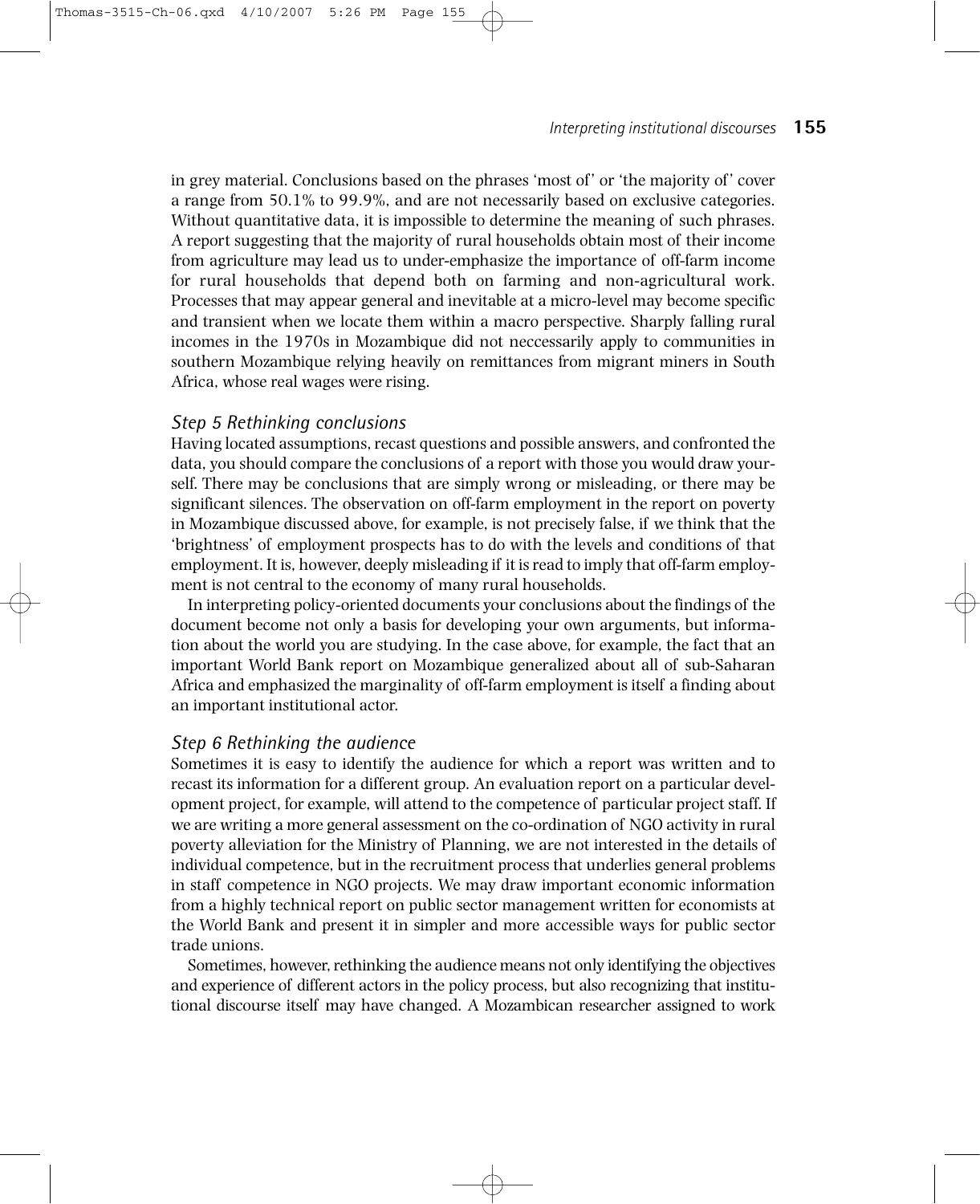in grey material. Conclusions based on the phrases 'most of ' or 'the majority of ' cover a range from 50.1% to 99.9%, and are not necessarily based on exclusive categories. Without quantitative data, it is impossible to determine the meaning of such phrases. A report suggesting that the majority of rural households obtain most of their income from agriculture may lead us to under-emphasize the importance of off-farm income for rural households that depend both on farming and non-agricultural work. Processes that may appear general and inevitable at a micro-level may become specific and transient when we locate them within a macro perspective. Sharply falling rural incomes in the 1970s in Mozambique did not neccessarily apply to communities in southern Mozambique relying heavily on remittances from migrant miners in South Africa, whose real wages were rising.

#### *Step 5 Rethinking conclusions*

Having located assumptions, recast questions and possible answers, and confronted the data, you should compare the conclusions of a report with those you would draw yourself. There may be conclusions that are simply wrong or misleading, or there may be significant silences. The observation on off-farm employment in the report on poverty in Mozambique discussed above, for example, is not precisely false, if we think that the 'brightness' of employment prospects has to do with the levels and conditions of that employment. It is, however, deeply misleading if it is read to imply that off-farm employment is not central to the economy of many rural households.

In interpreting policy-oriented documents your conclusions about the findings of the document become not only a basis for developing your own arguments, but information about the world you are studying. In the case above, for example, the fact that an important World Bank report on Mozambique generalized about all of sub-Saharan Africa and emphasized the marginality of off-farm employment is itself a finding about an important institutional actor.

#### *Step 6 Rethinking the audience*

Sometimes it is easy to identify the audience for which a report was written and to recast its information for a different group. An evaluation report on a particular development project, for example, will attend to the competence of particular project staff. If we are writing a more general assessment on the co-ordination of NGO activity in rural poverty alleviation for the Ministry of Planning, we are not interested in the details of individual competence, but in the recruitment process that underlies general problems in staff competence in NGO projects. We may draw important economic information from a highly technical report on public sector management written for economists at the World Bank and present it in simpler and more accessible ways for public sector trade unions.

Sometimes, however, rethinking the audience means not only identifying the objectives and experience of different actors in the policy process, but also recognizing that institutional discourse itself may have changed. A Mozambican researcher assigned to work